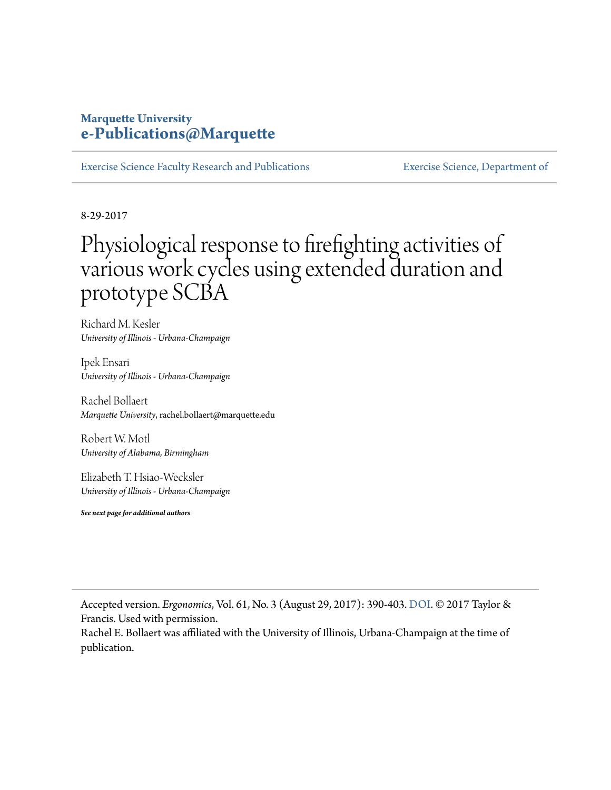# **Marquette University [e-Publications@Marquette](https://epublications.marquette.edu/)**

[Exercise Science Faculty Research and Publications](https://epublications.marquette.edu/exsci_fac) [Exercise Science, Department of](https://epublications.marquette.edu/exsci)

8-29-2017

# Physiological response to firefighting activities of various work cycles using extended duration and prototype SCBA

Richard M. Kesler *University of Illinois - Urbana-Champaign*

Ipek Ensari *University of Illinois - Urbana-Champaign*

Rachel Bollaert *Marquette University*, rachel.bollaert@marquette.edu

Robert W. Motl *University of Alabama, Birmingham*

Elizabeth T. Hsiao-Wecksler *University of Illinois - Urbana-Champaign*

*See next page for additional authors*

Accepted version. *Ergonomics*, Vol. 61, No. 3 (August 29, 2017): 390-403. [DOI.](https://doi.org/10.1080/00140139.2017.1360519) © 2017 Taylor & Francis. Used with permission.

Rachel E. Bollaert was affiliated with the University of Illinois, Urbana-Champaign at the time of publication.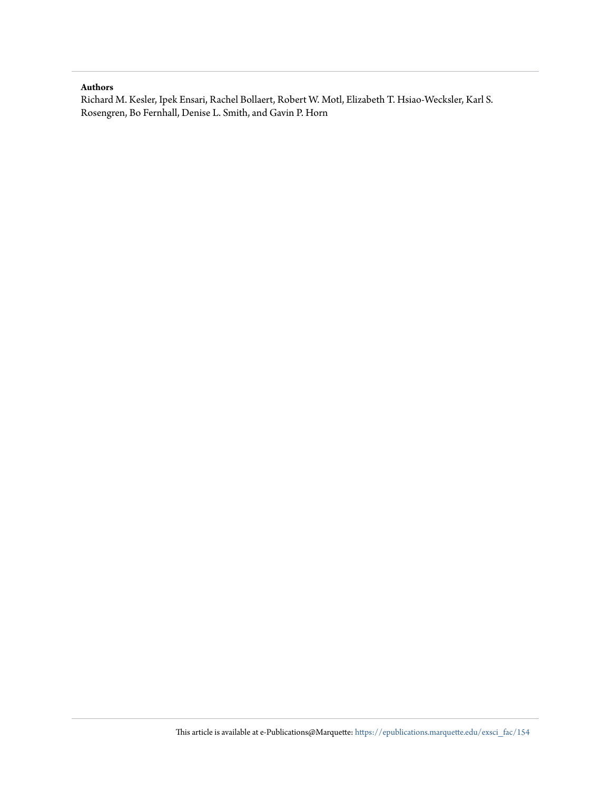#### **Authors**

Richard M. Kesler, Ipek Ensari, Rachel Bollaert, Robert W. Motl, Elizabeth T. Hsiao-Wecksler, Karl S. Rosengren, Bo Fernhall, Denise L. Smith, and Gavin P. Horn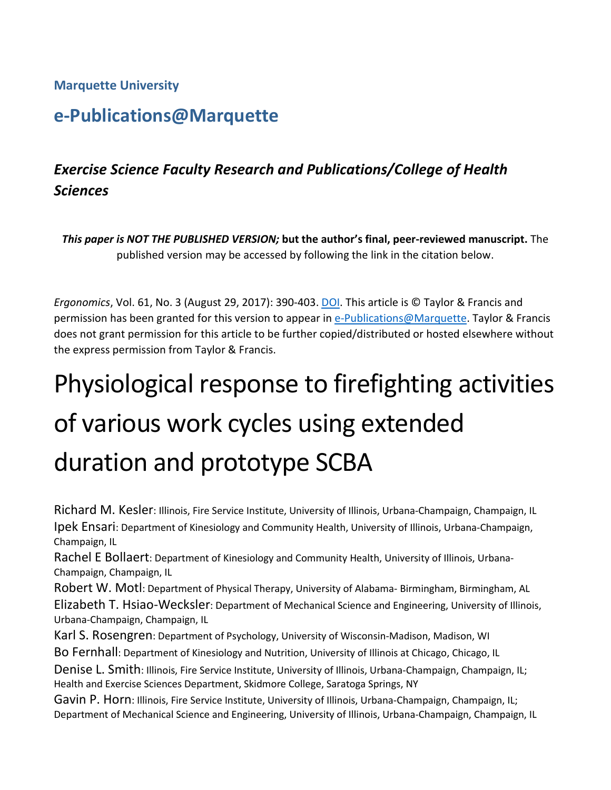**Marquette University**

# **e-Publications@Marquette**

# *Exercise Science Faculty Research and Publications/College of Health Sciences*

*This paper is NOT THE PUBLISHED VERSION;* **but the author's final, peer-reviewed manuscript.** The published version may be accessed by following the link in the citation below.

*Ergonomics*, Vol. 61, No. 3 (August 29, 2017): 390-403. DOI. This article is © Taylor & Francis and permission has been granted for this version to appear in [e-Publications@Marquette.](http://epublications.marquette.edu/) Taylor & Francis does not grant permission for this article to be further copied/distributed or hosted elsewhere without the express permission from Taylor & Francis.

# Physiological response to firefighting activities of various work cycles using extended duration and prototype SCBA

Richard M. Kesler: Illinois, Fire Service Institute, University of Illinois, Urbana-Champaign, Champaign, IL Ipek Ensari: Department of Kinesiology and Community Health, University of Illinois, Urbana-Champaign, Champaign, IL

Rachel E Bollaert: Department of Kinesiology and Community Health, University of Illinois, Urbana-Champaign, Champaign, IL

Robert W. Motl: Department of Physical Therapy, University of Alabama- Birmingham, Birmingham, AL Elizabeth T. Hsiao-Wecksler: Department of Mechanical Science and Engineering, University of Illinois, Urbana-Champaign, Champaign, IL

Karl S. Rosengren: Department of Psychology, University of Wisconsin-Madison, Madison, WI

Bo Fernhall: Department of Kinesiology and Nutrition, University of Illinois at Chicago, Chicago, IL

Denise L. Smith: Illinois, Fire Service Institute, University of Illinois, Urbana-Champaign, Champaign, IL; Health and Exercise Sciences Department, Skidmore College, Saratoga Springs, NY

Gavin P. Horn: Illinois, Fire Service Institute, University of Illinois, Urbana-Champaign, Champaign, IL; Department of Mechanical Science and Engineering, University of Illinois, Urbana-Champaign, Champaign, IL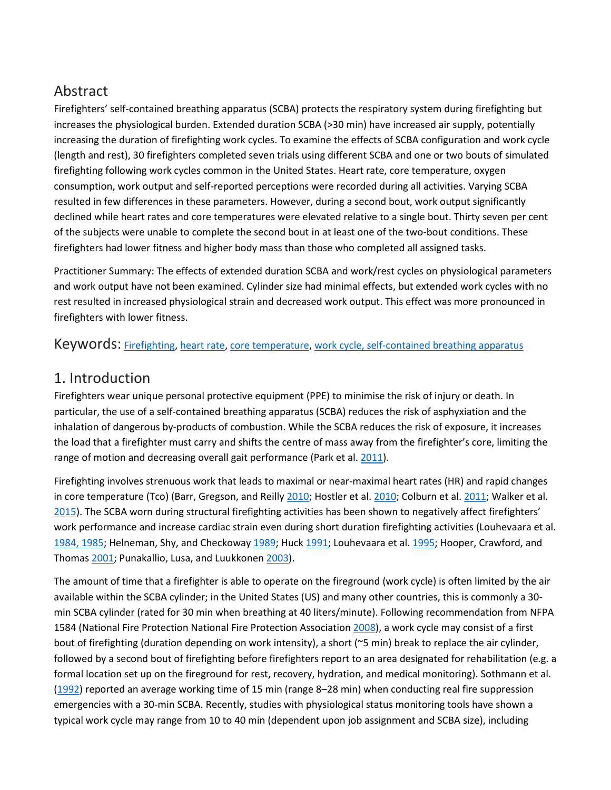# Abstract

Firefighters' self-contained breathing apparatus (SCBA) protects the respiratory system during firefighting but increases the physiological burden. Extended duration SCBA (>30 min) have increased air supply, potentially increasing the duration of firefighting work cycles. To examine the effects of SCBA configuration and work cycle (length and rest), 30 firefighters completed seven trials using different SCBA and one or two bouts of simulated firefighting following work cycles common in the United States. Heart rate, core temperature, oxygen consumption, work output and self-reported perceptions were recorded during all activities. Varying SCBA resulted in few differences in these parameters. However, during a second bout, work output significantly declined while heart rates and core temperatures were elevated relative to a single bout. Thirty seven per cent of the subjects were unable to complete the second bout in at least one of the two-bout conditions. These firefighters had lower fitness and higher body mass than those who completed all assigned tasks.

Practitioner Summary: The effects of extended duration SCBA and work/rest cycles on physiological parameters and work output have not been examined. Cylinder size had minimal effects, but extended work cycles with no rest resulted in increased physiological strain and decreased work output. This effect was more pronounced in firefighters with lower fitness.

Keywords: [Firefighting,](https://www.tandfonline.com/keyword/Firefighting) [heart rate,](https://www.tandfonline.com/keyword/Heart+Rate) [core temperature,](https://www.tandfonline.com/keyword/Core+Temperature) [work cycle, self-contained breathing apparatus](https://www.tandfonline.com/keyword/Work+Cycle%2C+Self-contained+Breathing+Apparatus)

# 1. Introduction

Firefighters wear unique personal protective equipment (PPE) to minimise the risk of injury or death. In particular, the use of a self-contained breathing apparatus (SCBA) reduces the risk of asphyxiation and the inhalation of dangerous by-products of combustion. While the SCBA reduces the risk of exposure, it increases the load that a firefighter must carry and shifts the centre of mass away from the firefighter's core, limiting the range of motion and decreasing overall gait performance (Park et al[. 2011\)](https://www.tandfonline.com/doi/full/10.1080/00140139.2017.1360519).

Firefighting involves strenuous work that leads to maximal or near-maximal heart rates (HR) and rapid changes in core temperature (Tco) (Barr, Gregson, and Reill[y 2010;](https://www.tandfonline.com/doi/full/10.1080/00140139.2017.1360519) Hostler et al. [2010;](https://www.tandfonline.com/doi/full/10.1080/00140139.2017.1360519) Colburn et al. [2011;](https://www.tandfonline.com/doi/full/10.1080/00140139.2017.1360519) Walker et al. [2015\)](https://www.tandfonline.com/doi/full/10.1080/00140139.2017.1360519). The SCBA worn during structural firefighting activities has been shown to negatively affect firefighters' work performance and increase cardiac strain even during short duration firefighting activities (Louhevaara et al. [1984, 1985;](https://www.tandfonline.com/doi/full/10.1080/00140139.2017.1360519) Helneman, Shy, and Checkoway [1989;](https://www.tandfonline.com/doi/full/10.1080/00140139.2017.1360519) Huc[k 1991;](https://www.tandfonline.com/doi/full/10.1080/00140139.2017.1360519) Louhevaara et al[. 1995;](https://www.tandfonline.com/doi/full/10.1080/00140139.2017.1360519) Hooper, Crawford, and Thomas [2001;](https://www.tandfonline.com/doi/full/10.1080/00140139.2017.1360519) Punakallio, Lusa, and Luukkonen [2003\)](https://www.tandfonline.com/doi/full/10.1080/00140139.2017.1360519).

The amount of time that a firefighter is able to operate on the fireground (work cycle) is often limited by the air available within the SCBA cylinder; in the United States (US) and many other countries, this is commonly a 30 min SCBA cylinder (rated for 30 min when breathing at 40 liters/minute). Following recommendation from NFPA 1584 (National Fire Protection National Fire Protection Association [2008\)](https://www.tandfonline.com/doi/full/10.1080/00140139.2017.1360519), a work cycle may consist of a first bout of firefighting (duration depending on work intensity), a short (~5 min) break to replace the air cylinder, followed by a second bout of firefighting before firefighters report to an area designated for rehabilitation (e.g. a formal location set up on the fireground for rest, recovery, hydration, and medical monitoring). Sothmann et al. [\(1992\)](https://www.tandfonline.com/doi/full/10.1080/00140139.2017.1360519) reported an average working time of 15 min (range 8–28 min) when conducting real fire suppression emergencies with a 30-min SCBA. Recently, studies with physiological status monitoring tools have shown a typical work cycle may range from 10 to 40 min (dependent upon job assignment and SCBA size), including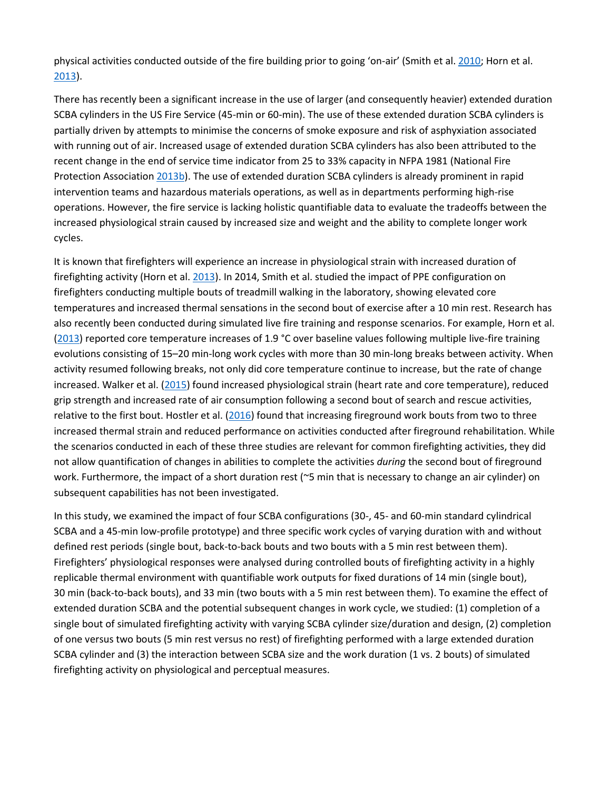physical activities conducted outside of the fire building prior to going 'on-air' (Smith et al[. 2010;](https://www.tandfonline.com/doi/full/10.1080/00140139.2017.1360519) Horn et al. [2013\)](https://www.tandfonline.com/doi/full/10.1080/00140139.2017.1360519).

There has recently been a significant increase in the use of larger (and consequently heavier) extended duration SCBA cylinders in the US Fire Service (45-min or 60-min). The use of these extended duration SCBA cylinders is partially driven by attempts to minimise the concerns of smoke exposure and risk of asphyxiation associated with running out of air. Increased usage of extended duration SCBA cylinders has also been attributed to the recent change in the end of service time indicator from 25 to 33% capacity in NFPA 1981 (National Fire Protection Association [2013b\)](https://www.tandfonline.com/doi/full/10.1080/00140139.2017.1360519). The use of extended duration SCBA cylinders is already prominent in rapid intervention teams and hazardous materials operations, as well as in departments performing high-rise operations. However, the fire service is lacking holistic quantifiable data to evaluate the tradeoffs between the increased physiological strain caused by increased size and weight and the ability to complete longer work cycles.

It is known that firefighters will experience an increase in physiological strain with increased duration of firefighting activity (Horn et al. [2013\)](https://www.tandfonline.com/doi/full/10.1080/00140139.2017.1360519). In 2014, Smith et al. studied the impact of PPE configuration on firefighters conducting multiple bouts of treadmill walking in the laboratory, showing elevated core temperatures and increased thermal sensations in the second bout of exercise after a 10 min rest. Research has also recently been conducted during simulated live fire training and response scenarios. For example, Horn et al. [\(2013\)](https://www.tandfonline.com/doi/full/10.1080/00140139.2017.1360519) reported core temperature increases of 1.9 °C over baseline values following multiple live-fire training evolutions consisting of 15–20 min-long work cycles with more than 30 min-long breaks between activity. When activity resumed following breaks, not only did core temperature continue to increase, but the rate of change increased. Walker et al. [\(2015\)](https://www.tandfonline.com/doi/full/10.1080/00140139.2017.1360519) found increased physiological strain (heart rate and core temperature), reduced grip strength and increased rate of air consumption following a second bout of search and rescue activities, relative to the first bout. Hostler et al.  $(2016)$  found that increasing fireground work bouts from two to three increased thermal strain and reduced performance on activities conducted after fireground rehabilitation. While the scenarios conducted in each of these three studies are relevant for common firefighting activities, they did not allow quantification of changes in abilities to complete the activities *during* the second bout of fireground work. Furthermore, the impact of a short duration rest (~5 min that is necessary to change an air cylinder) on subsequent capabilities has not been investigated.

In this study, we examined the impact of four SCBA configurations (30-, 45- and 60-min standard cylindrical SCBA and a 45-min low-profile prototype) and three specific work cycles of varying duration with and without defined rest periods (single bout, back-to-back bouts and two bouts with a 5 min rest between them). Firefighters' physiological responses were analysed during controlled bouts of firefighting activity in a highly replicable thermal environment with quantifiable work outputs for fixed durations of 14 min (single bout), 30 min (back-to-back bouts), and 33 min (two bouts with a 5 min rest between them). To examine the effect of extended duration SCBA and the potential subsequent changes in work cycle, we studied: (1) completion of a single bout of simulated firefighting activity with varying SCBA cylinder size/duration and design, (2) completion of one versus two bouts (5 min rest versus no rest) of firefighting performed with a large extended duration SCBA cylinder and (3) the interaction between SCBA size and the work duration (1 vs. 2 bouts) of simulated firefighting activity on physiological and perceptual measures.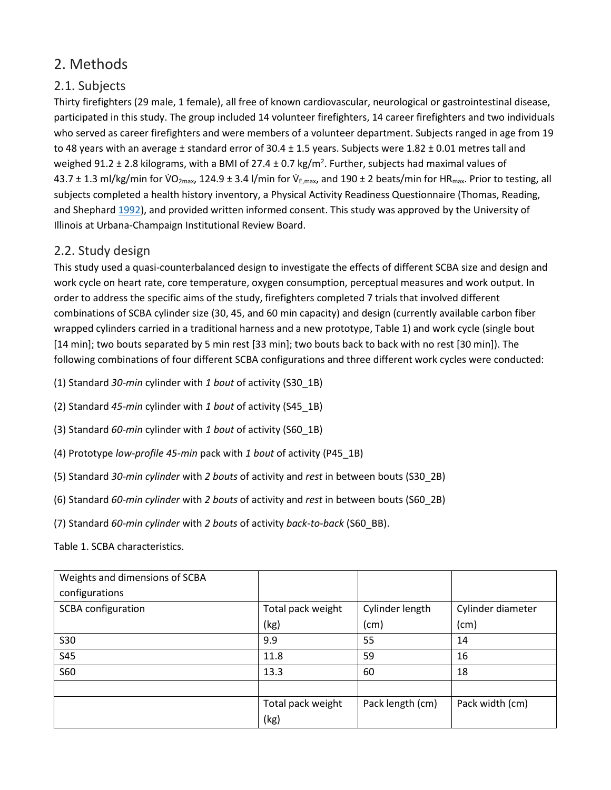# 2. Methods

# 2.1. Subjects

Thirty firefighters (29 male, 1 female), all free of known cardiovascular, neurological or gastrointestinal disease, participated in this study. The group included 14 volunteer firefighters, 14 career firefighters and two individuals who served as career firefighters and were members of a volunteer department. Subjects ranged in age from 19 to 48 years with an average  $\pm$  standard error of 30.4  $\pm$  1.5 years. Subjects were 1.82  $\pm$  0.01 metres tall and weighed 91.2  $\pm$  2.8 kilograms, with a BMI of 27.4  $\pm$  0.7 kg/m<sup>2</sup>. Further, subjects had maximal values of 43.7 ± 1.3 ml/kg/min for VO<sub>2max</sub>, 124.9 ± 3.4 l/min for V<sub>E,max</sub>, and 190 ± 2 beats/min for HR<sub>max</sub>. Prior to testing, all subjects completed a health history inventory, a Physical Activity Readiness Questionnaire (Thomas, Reading, and Shephar[d 1992\)](https://www.tandfonline.com/doi/full/10.1080/00140139.2017.1360519), and provided written informed consent. This study was approved by the University of Illinois at Urbana-Champaign Institutional Review Board.

# 2.2. Study design

This study used a quasi-counterbalanced design to investigate the effects of different SCBA size and design and work cycle on heart rate, core temperature, oxygen consumption, perceptual measures and work output. In order to address the specific aims of the study, firefighters completed 7 trials that involved different combinations of SCBA cylinder size (30, 45, and 60 min capacity) and design (currently available carbon fiber wrapped cylinders carried in a traditional harness and a new prototype, Table 1) and work cycle (single bout [14 min]; two bouts separated by 5 min rest [33 min]; two bouts back to back with no rest [30 min]). The following combinations of four different SCBA configurations and three different work cycles were conducted:

- (1) Standard *30-min* cylinder with *1 bout* of activity (S30\_1B)
- (2) Standard *45-min* cylinder with *1 bout* of activity (S45\_1B)
- (3) Standard *60-min* cylinder with *1 bout* of activity (S60\_1B)
- (4) Prototype *low-profile 45-min* pack with *1 bout* of activity (P45\_1B)
- (5) Standard *30-min cylinder* with *2 bouts* of activity and *rest* in between bouts (S30\_2B)
- (6) Standard *60-min cylinder* with *2 bouts* of activity and *rest* in between bouts (S60\_2B)
- (7) Standard *60-min cylinder* with *2 bouts* of activity *back-to-back* (S60\_BB).

Table 1. SCBA characteristics.

| Weights and dimensions of SCBA |                   |                  |                   |
|--------------------------------|-------------------|------------------|-------------------|
| configurations                 |                   |                  |                   |
| <b>SCBA</b> configuration      | Total pack weight | Cylinder length  | Cylinder diameter |
|                                | (kg)              | (cm)             | (cm)              |
| <b>S30</b>                     | 9.9               | 55               | 14                |
| <b>S45</b>                     | 11.8              | 59               | 16                |
| <b>S60</b>                     | 13.3              | 60               | 18                |
|                                |                   |                  |                   |
|                                | Total pack weight | Pack length (cm) | Pack width (cm)   |
|                                | (kg)              |                  |                   |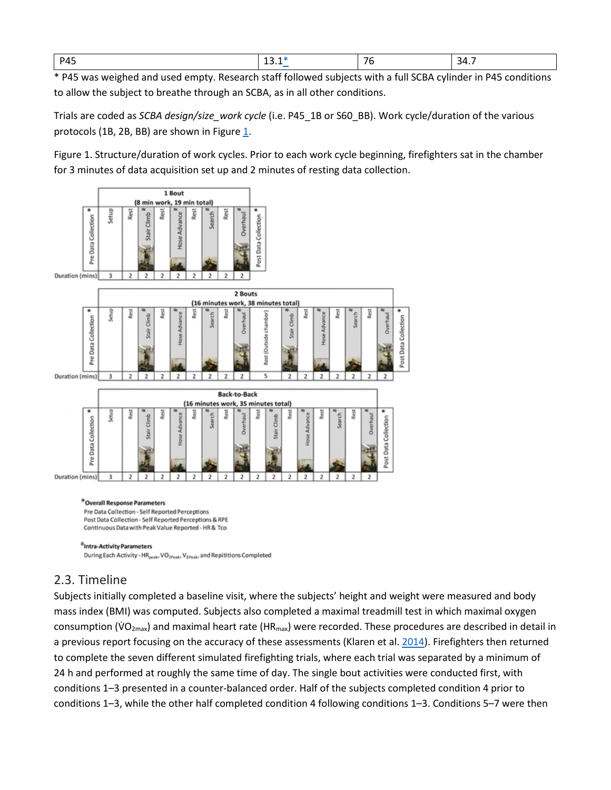| <b>P45</b> | . | $\overline{\phantom{a}}$<br>76 | 34<br>. .<br><b>T.I</b> |
|------------|---|--------------------------------|-------------------------|
|------------|---|--------------------------------|-------------------------|

\* P45 was weighed and used empty. Research staff followed subjects with a full SCBA cylinder in P45 conditions to allow the subject to breathe through an SCBA, as in all other conditions.

Trials are coded as *SCBA design/size\_work cycle* (i.e. P45\_1B or S60\_BB). Work cycle/duration of the various protocols (1B, 2B, BB) are shown in Figur[e 1.](https://www.tandfonline.com/doi/full/10.1080/00140139.2017.1360519#F0001)

Figure 1. Structure/duration of work cycles. Prior to each work cycle beginning, firefighters sat in the chamber for 3 minutes of data acquisition set up and 2 minutes of resting data collection.



#### \*Overall Response Parameters

Pre Data Collection - Self Reported Perceptions Post Data Collection - Self Reported Perceptions & RPE Continuous Data with Peak Value Reported - HR & Tco

#### 2.3. Timeline

Subjects initially completed a baseline visit, where the subjects' height and weight were measured and body mass index (BMI) was computed. Subjects also completed a maximal treadmill test in which maximal oxygen consumption ( $VO_{2max}$ ) and maximal heart rate (HR<sub>max</sub>) were recorded. These procedures are described in detail in a previous report focusing on the accuracy of these assessments (Klaren et al. [2014\)](https://www.tandfonline.com/doi/full/10.1080/00140139.2017.1360519). Firefighters then returned to complete the seven different simulated firefighting trials, where each trial was separated by a minimum of 24 h and performed at roughly the same time of day. The single bout activities were conducted first, with conditions 1–3 presented in a counter-balanced order. Half of the subjects completed condition 4 prior to conditions 1–3, while the other half completed condition 4 following conditions 1–3. Conditions 5–7 were then

<sup>&</sup>quot;Intra-Activity Parameters During Each Activity - HR<sub>peak</sub>, VO<sub>2Peak</sub>, V<sub>EPeak</sub>, and Repititions Completed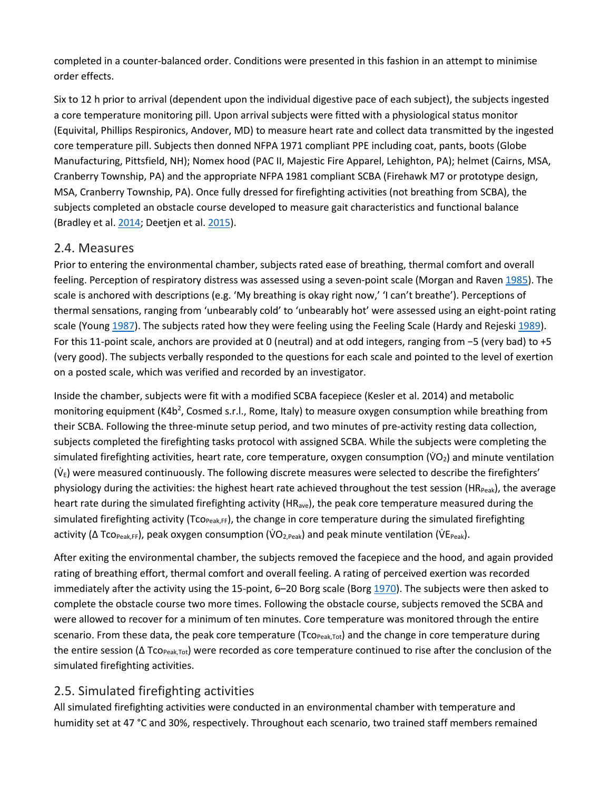completed in a counter-balanced order. Conditions were presented in this fashion in an attempt to minimise order effects.

Six to 12 h prior to arrival (dependent upon the individual digestive pace of each subject), the subjects ingested a core temperature monitoring pill. Upon arrival subjects were fitted with a physiological status monitor (Equivital, Phillips Respironics, Andover, MD) to measure heart rate and collect data transmitted by the ingested core temperature pill. Subjects then donned NFPA 1971 compliant PPE including coat, pants, boots (Globe Manufacturing, Pittsfield, NH); Nomex hood (PAC II, Majestic Fire Apparel, Lehighton, PA); helmet (Cairns, MSA, Cranberry Township, PA) and the appropriate NFPA 1981 compliant SCBA (Firehawk M7 or prototype design, MSA, Cranberry Township, PA). Once fully dressed for firefighting activities (not breathing from SCBA), the subjects completed an obstacle course developed to measure gait characteristics and functional balance (Bradley et al[. 2014;](https://www.tandfonline.com/doi/full/10.1080/00140139.2017.1360519) Deetjen et al[. 2015\)](https://www.tandfonline.com/doi/full/10.1080/00140139.2017.1360519).

#### 2.4. Measures

Prior to entering the environmental chamber, subjects rated ease of breathing, thermal comfort and overall feeling. Perception of respiratory distress was assessed using a seven-point scale (Morgan and Raven [1985\)](https://www.tandfonline.com/doi/full/10.1080/00140139.2017.1360519). The scale is anchored with descriptions (e.g. 'My breathing is okay right now,' 'I can't breathe'). Perceptions of thermal sensations, ranging from 'unbearably cold' to 'unbearably hot' were assessed using an eight-point rating scale (Youn[g 1987\)](https://www.tandfonline.com/doi/full/10.1080/00140139.2017.1360519). The subjects rated how they were feeling using the Feeling Scale (Hardy and Rejesk[i 1989\)](https://www.tandfonline.com/doi/full/10.1080/00140139.2017.1360519). For this 11-point scale, anchors are provided at 0 (neutral) and at odd integers, ranging from −5 (very bad) to +5 (very good). The subjects verbally responded to the questions for each scale and pointed to the level of exertion on a posted scale, which was verified and recorded by an investigator.

Inside the chamber, subjects were fit with a modified SCBA facepiece (Kesler et al. 2014) and metabolic monitoring equipment (K4b<sup>2</sup>, Cosmed s.r.l., Rome, Italy) to measure oxygen consumption while breathing from their SCBA. Following the three-minute setup period, and two minutes of pre-activity resting data collection, subjects completed the firefighting tasks protocol with assigned SCBA. While the subjects were completing the simulated firefighting activities, heart rate, core temperature, oxygen consumption ( $VO<sub>2</sub>$ ) and minute ventilation ( $\dot{V}_{E}$ ) were measured continuously. The following discrete measures were selected to describe the firefighters' physiology during the activities: the highest heart rate achieved throughout the test session (HRPeak), the average heart rate during the simulated firefighting activity (HRave), the peak core temperature measured during the simulated firefighting activity (Tco<sub>Peak,FF</sub>), the change in core temperature during the simulated firefighting activity ( $\Delta$  Tco<sub>Peak,FF</sub>), peak oxygen consumption (VO<sub>2,Peak</sub>) and peak minute ventilation (VE<sub>Peak</sub>).

After exiting the environmental chamber, the subjects removed the facepiece and the hood, and again provided rating of breathing effort, thermal comfort and overall feeling. A rating of perceived exertion was recorded immediately after the activity using the 15-point, 6–20 Borg scale (Bor[g 1970\)](https://www.tandfonline.com/doi/full/10.1080/00140139.2017.1360519). The subjects were then asked to complete the obstacle course two more times. Following the obstacle course, subjects removed the SCBA and were allowed to recover for a minimum of ten minutes. Core temperature was monitored through the entire scenario. From these data, the peak core temperature (Tco<sub>Peak,Tot</sub>) and the change in core temperature during the entire session ( $\Delta$  Tco<sub>Peak,Tot</sub>) were recorded as core temperature continued to rise after the conclusion of the simulated firefighting activities.

#### 2.5. Simulated firefighting activities

All simulated firefighting activities were conducted in an environmental chamber with temperature and humidity set at 47 °C and 30%, respectively. Throughout each scenario, two trained staff members remained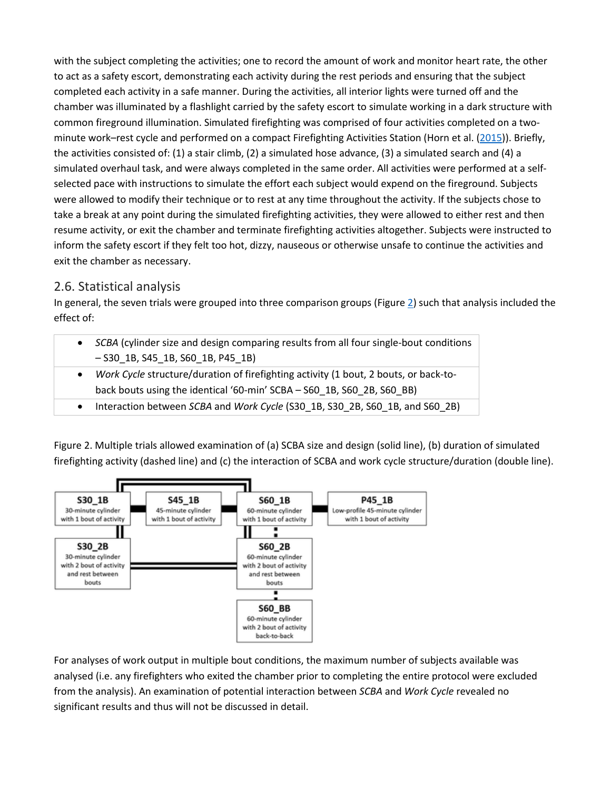with the subject completing the activities; one to record the amount of work and monitor heart rate, the other to act as a safety escort, demonstrating each activity during the rest periods and ensuring that the subject completed each activity in a safe manner. During the activities, all interior lights were turned off and the chamber was illuminated by a flashlight carried by the safety escort to simulate working in a dark structure with common fireground illumination. Simulated firefighting was comprised of four activities completed on a twominute work–rest cycle and performed on a compact Firefighting Activities Station (Horn et al. [\(2015\)](https://www.tandfonline.com/doi/full/10.1080/00140139.2017.1360519)). Briefly, the activities consisted of: (1) a stair climb, (2) a simulated hose advance, (3) a simulated search and (4) a simulated overhaul task, and were always completed in the same order. All activities were performed at a selfselected pace with instructions to simulate the effort each subject would expend on the fireground. Subjects were allowed to modify their technique or to rest at any time throughout the activity. If the subjects chose to take a break at any point during the simulated firefighting activities, they were allowed to either rest and then resume activity, or exit the chamber and terminate firefighting activities altogether. Subjects were instructed to inform the safety escort if they felt too hot, dizzy, nauseous or otherwise unsafe to continue the activities and exit the chamber as necessary.

# 2.6. Statistical analysis

In general, the seven trials were grouped into three comparison groups (Figur[e 2\)](https://www.tandfonline.com/doi/full/10.1080/00140139.2017.1360519#F0002) such that analysis included the effect of:

| SCBA (cylinder size and design comparing results from all four single-bout conditions                            |
|------------------------------------------------------------------------------------------------------------------|
| $-$ S30 1B, S45 1B, S60 1B, P45 1B)                                                                              |
| e de la constitución de la constitución de la constitución de la constitución de la constitución de la constituc |

- *Work Cycle* structure/duration of firefighting activity (1 bout, 2 bouts, or back-toback bouts using the identical '60-min' SCBA – S60\_1B, S60\_2B, S60\_BB)
- Interaction between *SCBA* and *Work Cycle* (S30\_1B, S30\_2B, S60\_1B, and S60\_2B)

Figure 2. Multiple trials allowed examination of (a) SCBA size and design (solid line), (b) duration of simulated firefighting activity (dashed line) and (c) the interaction of SCBA and work cycle structure/duration (double line).



For analyses of work output in multiple bout conditions, the maximum number of subjects available was analysed (i.e. any firefighters who exited the chamber prior to completing the entire protocol were excluded from the analysis). An examination of potential interaction between *SCBA* and *Work Cycle* revealed no significant results and thus will not be discussed in detail.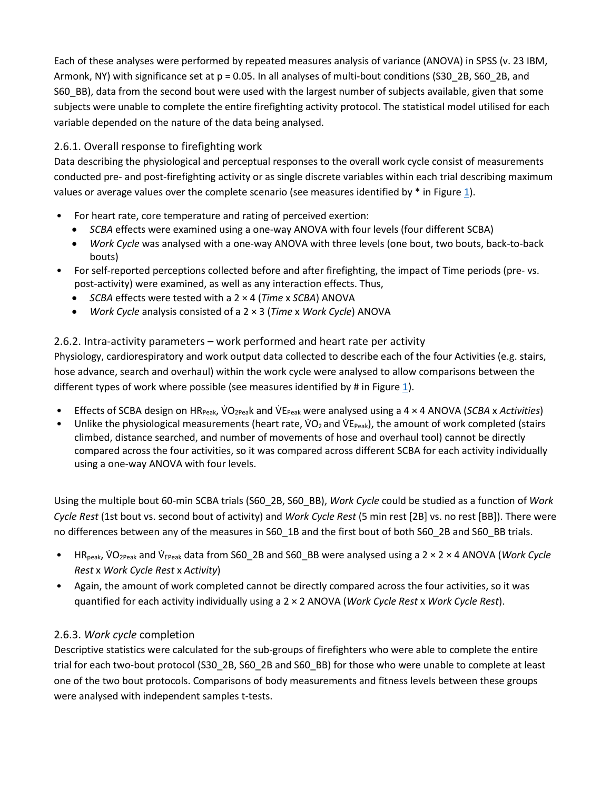Each of these analyses were performed by repeated measures analysis of variance (ANOVA) in SPSS (v. 23 IBM, Armonk, NY) with significance set at p = 0.05. In all analyses of multi-bout conditions (S30\_2B, S60\_2B, and S60\_BB), data from the second bout were used with the largest number of subjects available, given that some subjects were unable to complete the entire firefighting activity protocol. The statistical model utilised for each variable depended on the nature of the data being analysed.

#### 2.6.1. Overall response to firefighting work

Data describing the physiological and perceptual responses to the overall work cycle consist of measurements conducted pre- and post-firefighting activity or as single discrete variables within each trial describing maximum values or average values over the complete scenario (see measures identified by  $*$  in Figure [1\)](https://www.tandfonline.com/doi/full/10.1080/00140139.2017.1360519#F0001).

- For heart rate, core temperature and rating of perceived exertion:
	- *SCBA* effects were examined using a one-way ANOVA with four levels (four different SCBA)
	- *Work Cycle* was analysed with a one-way ANOVA with three levels (one bout, two bouts, back-to-back bouts)
- For self-reported perceptions collected before and after firefighting, the impact of Time periods (pre- vs. post-activity) were examined, as well as any interaction effects. Thus,
	- *SCBA* effects were tested with a 2 × 4 (*Time* x *SCBA*) ANOVA
	- *Work Cycle* analysis consisted of a 2 × 3 (*Time* x *Work Cycle*) ANOVA

#### 2.6.2. Intra-activity parameters – work performed and heart rate per activity

Physiology, cardiorespiratory and work output data collected to describe each of the four Activities (e.g. stairs, hose advance, search and overhaul) within the work cycle were analysed to allow comparisons between the different types of work where possible (see measures identified by # in Figur[e 1\)](https://www.tandfonline.com/doi/full/10.1080/00140139.2017.1360519#F0001).

- Effects of SCBA design on HR<sub>Peak</sub>, VO<sub>2Pea</sub>k and VE<sub>Peak</sub> were analysed using a 4 × 4 ANOVA (*SCBA* x *Activities*)
- Unlike the physiological measurements (heart rate,  $VO<sub>2</sub>$  and  $VE<sub>Peak</sub>$ ), the amount of work completed (stairs climbed, distance searched, and number of movements of hose and overhaul tool) cannot be directly compared across the four activities, so it was compared across different SCBA for each activity individually using a one-way ANOVA with four levels.

Using the multiple bout 60-min SCBA trials (S60\_2B, S60\_BB), *Work Cycle* could be studied as a function of *Work Cycle Rest* (1st bout vs. second bout of activity) and *Work Cycle Rest* (5 min rest [2B] vs. no rest [BB]). There were no differences between any of the measures in S60\_1B and the first bout of both S60\_2B and S60\_BB trials.

- HR<sub>peak</sub>, VO<sub>2Peak</sub> and V<sub>EPeak</sub> data from S60\_2B and S60\_BB were analysed using a 2 × 2 × 4 ANOVA (*Work Cycle Rest* x *Work Cycle Rest* x *Activity*)
- Again, the amount of work completed cannot be directly compared across the four activities, so it was quantified for each activity individually using a 2 × 2 ANOVA (*Work Cycle Rest* x *Work Cycle Rest*).

#### 2.6.3. *Work cycle* completion

Descriptive statistics were calculated for the sub-groups of firefighters who were able to complete the entire trial for each two-bout protocol (S30\_2B, S60\_2B and S60\_BB) for those who were unable to complete at least one of the two bout protocols. Comparisons of body measurements and fitness levels between these groups were analysed with independent samples t-tests.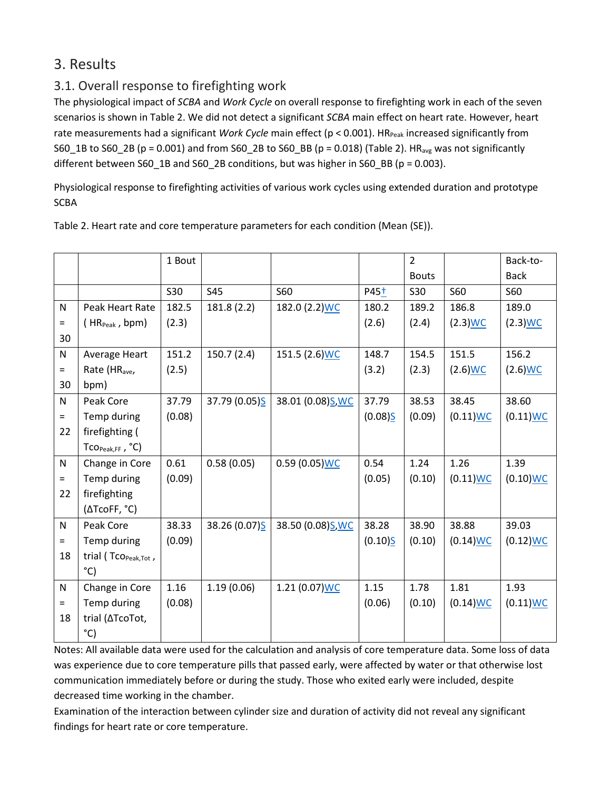# 3. Results

# 3.1. Overall response to firefighting work

The physiological impact of *SCBA* and *Work Cycle* on overall response to firefighting work in each of the seven scenarios is shown in Table 2. We did not detect a significant *SCBA* main effect on heart rate. However, heart rate measurements had a significant *Work Cycle* main effect (p < 0.001). HR<sub>Peak</sub> increased significantly from S60\_1B to S60\_2B (p = 0.001) and from S60\_2B to S60\_BB (p = 0.018) (Table 2). HR<sub>avg</sub> was not significantly different between S60\_1B and S60\_2B conditions, but was higher in S60\_BB (p = 0.003).

Physiological response to firefighting activities of various work cycles using extended duration and prototype **SCBA** 

|          |                                                             | 1 Bout |               |                   |                  | $\overline{2}$ |             | Back-to-    |
|----------|-------------------------------------------------------------|--------|---------------|-------------------|------------------|----------------|-------------|-------------|
|          |                                                             |        |               |                   |                  | <b>Bouts</b>   |             | <b>Back</b> |
|          |                                                             | S30    | S45           | <b>S60</b>        | P45 <sup>+</sup> | S30            | <b>S60</b>  | <b>S60</b>  |
| N        | Peak Heart Rate                                             | 182.5  | 181.8 (2.2)   | 182.0 (2.2) WC    | 180.2            | 189.2          | 186.8       | 189.0       |
| $=$      | $(HR_{Peak}, bpm)$                                          | (2.3)  |               |                   | (2.6)            | (2.4)          | $(2.3)$ WC  | $(2.3)$ WC  |
| 30       |                                                             |        |               |                   |                  |                |             |             |
| N        | Average Heart                                               | 151.2  | 150.7(2.4)    | 151.5 (2.6) WC    | 148.7            | 154.5          | 151.5       | 156.2       |
| $=$      | Rate (HR <sub>ave</sub> ,                                   | (2.5)  |               |                   | (3.2)            | (2.3)          | $(2.6)$ WC  | $(2.6)$ WC  |
| 30       | bpm)                                                        |        |               |                   |                  |                |             |             |
| N        | Peak Core                                                   | 37.79  | 37.79 (0.05)S | 38.01 (0.08) S WC | 37.79            | 38.53          | 38.45       | 38.60       |
| $=$      | Temp during                                                 | (0.08) |               |                   | (0.08)           | (0.09)         | $(0.11)$ WC | $(0.11)$ WC |
| 22       | firefighting (                                              |        |               |                   |                  |                |             |             |
|          | $\mathsf{Tco}_{\mathsf{Peak},\mathsf{FF}}$ , $\mathsf{C}$ ) |        |               |                   |                  |                |             |             |
| N        | Change in Core                                              | 0.61   | 0.58(0.05)    | $0.59(0.05)$ WC   | 0.54             | 1.24           | 1.26        | 1.39        |
| $=$      | Temp during                                                 | (0.09) |               |                   | (0.05)           | (0.10)         | $(0.11)$ WC | $(0.10)$ WC |
| 22       | firefighting                                                |        |               |                   |                  |                |             |             |
|          | (ΔTcoFF, °C)                                                |        |               |                   |                  |                |             |             |
| N        | Peak Core                                                   | 38.33  | 38.26 (0.07)S | 38.50 (0.08) S WC | 38.28            | 38.90          | 38.88       | 39.03       |
| $\equiv$ | Temp during                                                 | (0.09) |               |                   | (0.10)           | (0.10)         | $(0.14)$ WC | $(0.12)$ WC |
| 18       | trial (TcO <sub>Peak,Tot</sub> ,                            |        |               |                   |                  |                |             |             |
|          | $^{\circ}$ C)                                               |        |               |                   |                  |                |             |             |
| N        | Change in Core                                              | 1.16   | 1.19(0.06)    | $1.21(0.07)$ WC   | 1.15             | 1.78           | 1.81        | 1.93        |
| $=$      | Temp during                                                 | (0.08) |               |                   | (0.06)           | (0.10)         | $(0.14)$ WC | $(0.11)$ WC |
| 18       | trial (ATcoTot,                                             |        |               |                   |                  |                |             |             |
|          | °C)                                                         |        |               |                   |                  |                |             |             |

Table 2. Heart rate and core temperature parameters for each condition (Mean (SE)).

Notes: All available data were used for the calculation and analysis of core temperature data. Some loss of data was experience due to core temperature pills that passed early, were affected by water or that otherwise lost communication immediately before or during the study. Those who exited early were included, despite decreased time working in the chamber.

Examination of the interaction between cylinder size and duration of activity did not reveal any significant findings for heart rate or core temperature.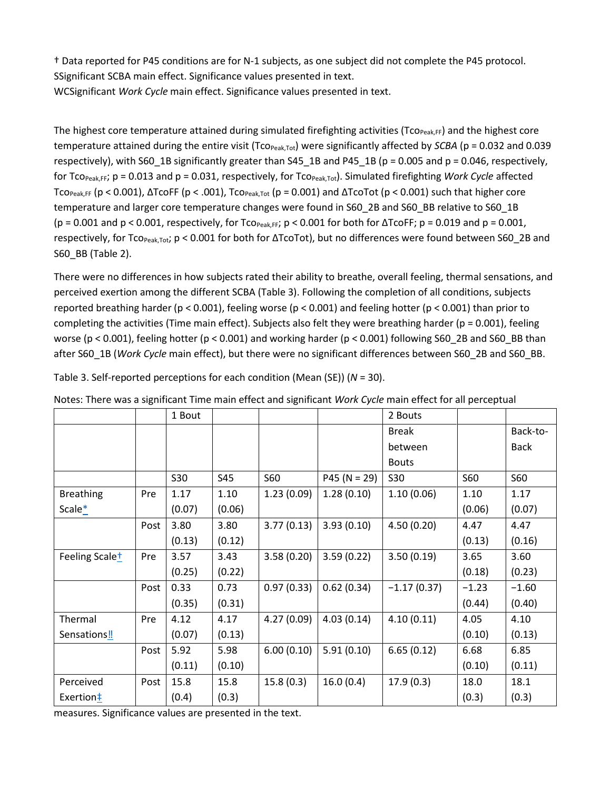† Data reported for P45 conditions are for N-1 subjects, as one subject did not complete the P45 protocol. SSignificant SCBA main effect. Significance values presented in text. WCSignificant *Work Cycle* main effect. Significance values presented in text.

The highest core temperature attained during simulated firefighting activities (Tco<sub>Peak,FF</sub>) and the highest core temperature attained during the entire visit (Tco<sub>Peak,Tot</sub>) were significantly affected by *SCBA* (p = 0.032 and 0.039 respectively), with S60\_1B significantly greater than S45\_1B and P45\_1B (p = 0.005 and p = 0.046, respectively, for  $To_{PeakFF}$ ;  $p = 0.013$  and  $p = 0.031$ , respectively, for  $To_{PeakTot}$ ). Simulated firefighting *Work Cycle* affected TcoPeak,FF (p < 0.001), ΔTcoFF (p < .001), TcoPeak,Tot (p = 0.001) and ΔTcoTot (p < 0.001) such that higher core temperature and larger core temperature changes were found in S60\_2B and S60\_BB relative to S60\_1B (p = 0.001 and p < 0.001, respectively, for  $To_{Peak,FF}$ ; p < 0.001 for both for  $\Delta To$ F; p = 0.019 and p = 0.001, respectively, for Tco<sub>Peak,Tot</sub>; p < 0.001 for both for ΔTcoTot), but no differences were found between S60\_2B and S60\_BB (Table 2).

There were no differences in how subjects rated their ability to breathe, overall feeling, thermal sensations, and perceived exertion among the different SCBA (Table 3). Following the completion of all conditions, subjects reported breathing harder (p < 0.001), feeling worse (p < 0.001) and feeling hotter (p < 0.001) than prior to completing the activities (Time main effect). Subjects also felt they were breathing harder ( $p = 0.001$ ), feeling worse ( $p < 0.001$ ), feeling hotter ( $p < 0.001$ ) and working harder ( $p < 0.001$ ) following S60 2B and S60 BB than after S60\_1B (*Work Cycle* main effect), but there were no significant differences between S60\_2B and S60\_BB.

| ivotes. There was a significant finite main effect and significant work cycle main effect for an perceptual |      |            |        |            |                |               |            |             |
|-------------------------------------------------------------------------------------------------------------|------|------------|--------|------------|----------------|---------------|------------|-------------|
|                                                                                                             |      | 1 Bout     |        |            |                | 2 Bouts       |            |             |
|                                                                                                             |      |            |        |            |                | <b>Break</b>  |            | Back-to-    |
|                                                                                                             |      |            |        |            |                | between       |            | <b>Back</b> |
|                                                                                                             |      |            |        |            |                | <b>Bouts</b>  |            |             |
|                                                                                                             |      | <b>S30</b> | S45    | <b>S60</b> | $P45 (N = 29)$ | S30           | <b>S60</b> | S60         |
| <b>Breathing</b>                                                                                            | Pre  | 1.17       | 1.10   | 1.23(0.09) | 1.28(0.10)     | 1.10(0.06)    | 1.10       | 1.17        |
| Scale $*$                                                                                                   |      | (0.07)     | (0.06) |            |                |               | (0.06)     | (0.07)      |
|                                                                                                             | Post | 3.80       | 3.80   | 3.77(0.13) | 3.93(0.10)     | 4.50(0.20)    | 4.47       | 4.47        |
|                                                                                                             |      | (0.13)     | (0.12) |            |                |               | (0.13)     | (0.16)      |
| Feeling Scale <sup>+</sup>                                                                                  | Pre  | 3.57       | 3.43   | 3.58(0.20) | 3.59(0.22)     | 3.50(0.19)    | 3.65       | 3.60        |
|                                                                                                             |      | (0.25)     | (0.22) |            |                |               | (0.18)     | (0.23)      |
|                                                                                                             | Post | 0.33       | 0.73   | 0.97(0.33) | 0.62(0.34)     | $-1.17(0.37)$ | $-1.23$    | $-1.60$     |
|                                                                                                             |      | (0.35)     | (0.31) |            |                |               | (0.44)     | (0.40)      |
| Thermal                                                                                                     | Pre  | 4.12       | 4.17   | 4.27(0.09) | 4.03(0.14)     | 4.10(0.11)    | 4.05       | 4.10        |
| Sensations!                                                                                                 |      | (0.07)     | (0.13) |            |                |               | (0.10)     | (0.13)      |
|                                                                                                             | Post | 5.92       | 5.98   | 6.00(0.10) | 5.91(0.10)     | 6.65(0.12)    | 6.68       | 6.85        |
|                                                                                                             |      | (0.11)     | (0.10) |            |                |               | (0.10)     | (0.11)      |
| Perceived                                                                                                   | Post | 15.8       | 15.8   | 15.8(0.3)  | 16.0(0.4)      | 17.9(0.3)     | 18.0       | 18.1        |
| Exertion#                                                                                                   |      | (0.4)      | (0.3)  |            |                |               | (0.3)      | (0.3)       |

Table 3. Self-reported perceptions for each condition (Mean (SE)) (*N* = 30).

| Notes: There was a significant Time main effect and significant Work Cycle main effect for all perceptual |  |  |
|-----------------------------------------------------------------------------------------------------------|--|--|
|                                                                                                           |  |  |

measures. Significance values are presented in the text.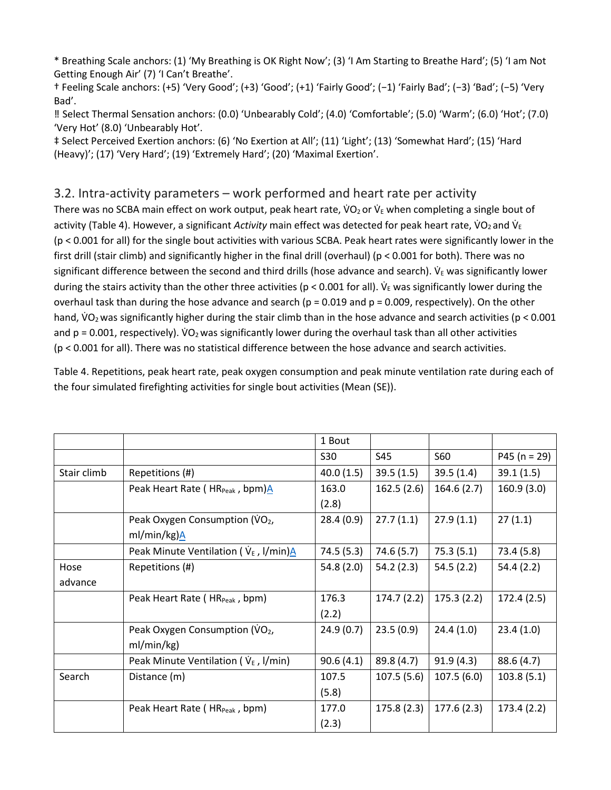\* Breathing Scale anchors: (1) 'My Breathing is OK Right Now'; (3) 'I Am Starting to Breathe Hard'; (5) 'I am Not Getting Enough Air' (7) 'I Can't Breathe'.

† Feeling Scale anchors: (+5) 'Very Good'; (+3) 'Good'; (+1) 'Fairly Good'; (−1) 'Fairly Bad'; (−3) 'Bad'; (−5) 'Very Bad'.

‼ Select Thermal Sensation anchors: (0.0) 'Unbearably Cold'; (4.0) 'Comfortable'; (5.0) 'Warm'; (6.0) 'Hot'; (7.0) 'Very Hot' (8.0) 'Unbearably Hot'.

‡ Select Perceived Exertion anchors: (6) 'No Exertion at All'; (11) 'Light'; (13) 'Somewhat Hard'; (15) 'Hard (Heavy)'; (17) 'Very Hard'; (19) 'Extremely Hard'; (20) 'Maximal Exertion'.

### 3.2. Intra-activity parameters – work performed and heart rate per activity

There was no SCBA main effect on work output, peak heart rate, VO<sub>2</sub> or V<sub>E</sub> when completing a single bout of activity (Table 4). However, a significant *Activity* main effect was detected for peak heart rate, VO<sub>2</sub> and V<sub>E</sub> (p < 0.001 for all) for the single bout activities with various SCBA. Peak heart rates were significantly lower in the first drill (stair climb) and significantly higher in the final drill (overhaul) (p < 0.001 for both). There was no significant difference between the second and third drills (hose advance and search).  $\dot{V}_E$  was significantly lower during the stairs activity than the other three activities (p < 0.001 for all). V<sub>E</sub> was significantly lower during the overhaul task than during the hose advance and search ( $p = 0.019$  and  $p = 0.009$ , respectively). On the other hand, VO<sub>2</sub> was significantly higher during the stair climb than in the hose advance and search activities ( $p < 0.001$ ) and  $p = 0.001$ , respectively).  $VO<sub>2</sub>$  was significantly lower during the overhaul task than all other activities (p < 0.001 for all). There was no statistical difference between the hose advance and search activities.

Table 4. Repetitions, peak heart rate, peak oxygen consumption and peak minute ventilation rate during each of the four simulated firefighting activities for single bout activities (Mean (SE)).

|             |                                                | 1 Bout     |            |            |                |
|-------------|------------------------------------------------|------------|------------|------------|----------------|
|             |                                                | S30        | S45        | <b>S60</b> | $P45 (n = 29)$ |
| Stair climb | Repetitions (#)                                | 40.0(1.5)  | 39.5(1.5)  | 39.5(1.4)  | 39.1(1.5)      |
|             | Peak Heart Rate (HR <sub>Peak</sub> , bpm)A    | 163.0      | 162.5(2.6) | 164.6(2.7) | 160.9(3.0)     |
|             |                                                | (2.8)      |            |            |                |
|             | Peak Oxygen Consumption (VO <sub>2</sub> ,     | 28.4(0.9)  | 27.7(1.1)  | 27.9(1.1)  | 27(1.1)        |
|             | ml/min/kg)A                                    |            |            |            |                |
|             | Peak Minute Ventilation ( $V_{E}$ , I/min) $A$ | 74.5 (5.3) | 74.6 (5.7) | 75.3(5.1)  | 73.4(5.8)      |
| Hose        | Repetitions (#)                                | 54.8(2.0)  | 54.2(2.3)  | 54.5(2.2)  | 54.4(2.2)      |
| advance     |                                                |            |            |            |                |
|             | Peak Heart Rate (HR <sub>Peak</sub> , bpm)     | 176.3      | 174.7(2.2) | 175.3(2.2) | 172.4(2.5)     |
|             |                                                | (2.2)      |            |            |                |
|             | Peak Oxygen Consumption (VO2,                  | 24.9(0.7)  | 23.5(0.9)  | 24.4(1.0)  | 23.4(1.0)      |
|             | ml/min/kg)                                     |            |            |            |                |
|             | Peak Minute Ventilation ( $V_{E}$ , I/min)     | 90.6(4.1)  | 89.8 (4.7) | 91.9(4.3)  | 88.6 (4.7)     |
| Search      | Distance (m)                                   | 107.5      | 107.5(5.6) | 107.5(6.0) | 103.8(5.1)     |
|             |                                                | (5.8)      |            |            |                |
|             | Peak Heart Rate (HR <sub>Peak</sub> , bpm)     | 177.0      | 175.8(2.3) | 177.6(2.3) | 173.4(2.2)     |
|             |                                                | (2.3)      |            |            |                |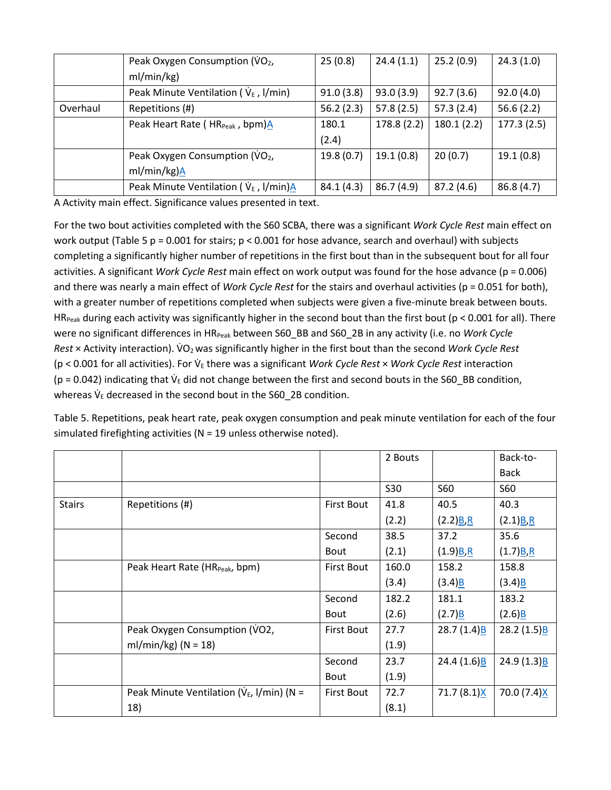|          | Peak Oxygen Consumption (VO2,               | 25(0.8)    | 24.4(1.1)   | 25.2(0.9)  | 24.3(1.0)  |
|----------|---------------------------------------------|------------|-------------|------------|------------|
|          | ml/min/kg)                                  |            |             |            |            |
|          | Peak Minute Ventilation ( $V_{E}$ , I/min)  | 91.0(3.8)  | 93.0(3.9)   | 92.7(3.6)  | 92.0(4.0)  |
| Overhaul | Repetitions (#)                             | 56.2(2.3)  | 57.8(2.5)   | 57.3(2.4)  | 56.6(2.2)  |
|          | Peak Heart Rate (HR <sub>Peak</sub> , bpm)A | 180.1      | 178.8 (2.2) | 180.1(2.2) | 177.3(2.5) |
|          |                                             | (2.4)      |             |            |            |
|          | Peak Oxygen Consumption (VO <sub>2</sub> ,  | 19.8(0.7)  | 19.1(0.8)   | 20(0.7)    | 19.1(0.8)  |
|          | ml/min/kg)A                                 |            |             |            |            |
|          | Peak Minute Ventilation ( $V_{E}$ , I/min)A | 84.1 (4.3) | 86.7 (4.9)  | 87.2(4.6)  | 86.8(4.7)  |

A Activity main effect. Significance values presented in text.

For the two bout activities completed with the S60 SCBA, there was a significant *Work Cycle Rest* main effect on work output (Table 5 p = 0.001 for stairs;  $p < 0.001$  for hose advance, search and overhaul) with subjects completing a significantly higher number of repetitions in the first bout than in the subsequent bout for all four activities. A significant *Work Cycle Rest* main effect on work output was found for the hose advance (p = 0.006) and there was nearly a main effect of *Work Cycle Rest* for the stairs and overhaul activities (p = 0.051 for both), with a greater number of repetitions completed when subjects were given a five-minute break between bouts. HR<sub>Peak</sub> during each activity was significantly higher in the second bout than the first bout ( $p < 0.001$  for all). There were no significant differences in HR<sub>Peak</sub> between S60\_BB and S60\_2B in any activity (i.e. no *Work Cycle Rest* × Activity interaction). V�O2was significantly higher in the first bout than the second *Work Cycle Rest* (p < 0.001 for all activities). For V� <sup>E</sup> there was a significant *Work Cycle Rest* × *Work Cycle Rest* interaction ( $p = 0.042$ ) indicating that  $V_E$  did not change between the first and second bouts in the S60\_BB condition, whereas  $\dot{\mathsf{V}}_{\mathrm{E}}$  decreased in the second bout in the S60\_2B condition.

Table 5. Repetitions, peak heart rate, peak oxygen consumption and peak minute ventilation for each of the four simulated firefighting activities (N = 19 unless otherwise noted).

|               |                                                 |                   | 2 Bouts |               | Back-to-                  |
|---------------|-------------------------------------------------|-------------------|---------|---------------|---------------------------|
|               |                                                 |                   |         |               | <b>Back</b>               |
|               |                                                 |                   | S30     | <b>S60</b>    | S60                       |
| <b>Stairs</b> | Repetitions (#)                                 | <b>First Bout</b> | 41.8    | 40.5          | 40.3                      |
|               |                                                 |                   | (2.2)   | (2.2)B.R      | (2.1)B.R                  |
|               |                                                 | Second            | 38.5    | 37.2          | 35.6                      |
|               |                                                 | <b>Bout</b>       | (2.1)   | $(1.9)B$ , R  | $(1.7)B$ , R              |
|               | Peak Heart Rate (HR <sub>Peak</sub> , bpm)      | <b>First Bout</b> | 160.0   | 158.2         | 158.8                     |
|               |                                                 |                   | (3.4)   | (3.4)B        | (3.4)B                    |
|               |                                                 | Second            | 182.2   | 181.1         | 183.2                     |
|               |                                                 | <b>Bout</b>       | (2.6)   | (2.7)B        | (2.6)B                    |
|               | Peak Oxygen Consumption (VO2,                   | <b>First Bout</b> | 27.7    | 28.7(1.4)B    | 28.2 $(1.5)$ <sup>B</sup> |
|               | ml/min/kg) ( $N = 18$ )                         |                   | (1.9)   |               |                           |
|               |                                                 | Second            | 23.7    | 24.4(1.6)B    | 24.9(1.3)B                |
|               |                                                 | <b>Bout</b>       | (1.9)   |               |                           |
|               | Peak Minute Ventilation ( $V_{E}$ , I/min) (N = | <b>First Bout</b> | 72.7    | $71.7(8.1)$ X | 70.0 (7.4)X               |
|               | 18)                                             |                   | (8.1)   |               |                           |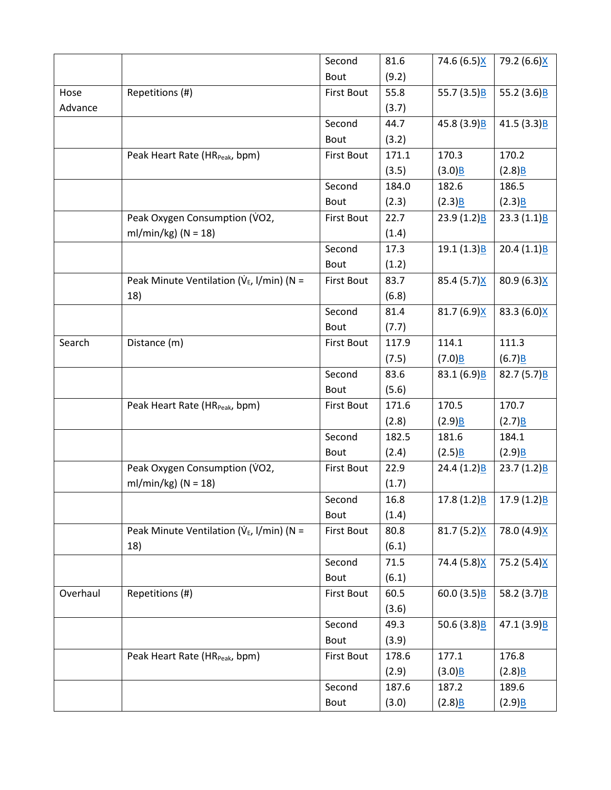|          |                                                 | Second            | 81.6  | 74.6 (6.5)X               | 79.2 (6.6)X               |
|----------|-------------------------------------------------|-------------------|-------|---------------------------|---------------------------|
|          |                                                 | Bout              | (9.2) |                           |                           |
| Hose     | Repetitions (#)                                 | <b>First Bout</b> | 55.8  | 55.7 $(3.5)B$             | 55.2 $(3.6)B$             |
| Advance  |                                                 |                   | (3.7) |                           |                           |
|          |                                                 | Second            | 44.7  | 45.8 (3.9)B               | 41.5(3.3)B                |
|          |                                                 | Bout              | (3.2) |                           |                           |
|          | Peak Heart Rate (HR <sub>Peak</sub> , bpm)      | <b>First Bout</b> | 171.1 | 170.3                     | 170.2                     |
|          |                                                 |                   | (3.5) | (3.0)B                    | (2.8)B                    |
|          |                                                 | Second            | 184.0 | 182.6                     | 186.5                     |
|          |                                                 | Bout              | (2.3) | (2.3)B                    | (2.3)B                    |
|          | Peak Oxygen Consumption (VO2,                   | <b>First Bout</b> | 22.7  | 23.9(1.2)B                | 23.3 $(1.1)B$             |
|          | ml/min/kg) ( $N = 18$ )                         |                   | (1.4) |                           |                           |
|          |                                                 | Second            | 17.3  | 19.1(1.3)B                | 20.4 $(1.1)$ B            |
|          |                                                 | Bout              | (1.2) |                           |                           |
|          | Peak Minute Ventilation ( $V_{E}$ , I/min) (N = | <b>First Bout</b> | 83.7  | 85.4 (5.7)X               | 80.9 (6.3)X               |
|          | 18)                                             |                   | (6.8) |                           |                           |
|          |                                                 | Second            | 81.4  | 81.7 $(6.9)X$             | 83.3 (6.0)X               |
|          |                                                 | Bout              | (7.7) |                           |                           |
| Search   | Distance (m)                                    | <b>First Bout</b> | 117.9 | 114.1                     | 111.3                     |
|          |                                                 |                   | (7.5) | $(7.0)$ B                 | (6.7)B                    |
|          |                                                 | Second            | 83.6  | 83.1 $(6.9)B$             | 82.7 $(5.7)B$             |
|          |                                                 | Bout              | (5.6) |                           |                           |
|          | Peak Heart Rate (HR <sub>Peak</sub> , bpm)      | <b>First Bout</b> | 171.6 | 170.5                     | 170.7                     |
|          |                                                 |                   | (2.8) | (2.9)B                    | (2.7)B                    |
|          |                                                 | Second            | 182.5 | 181.6                     | 184.1                     |
|          |                                                 | Bout              | (2.4) | (2.5)B                    | (2.9)B                    |
|          | Peak Oxygen Consumption (VO2,                   | <b>First Bout</b> | 22.9  | 24.4 $(1.2)B$             | 23.7 $(1.2)$ <sup>B</sup> |
|          | ml/min/kg) ( $N = 18$ )                         |                   | (1.7) |                           |                           |
|          |                                                 | Second            | 16.8  | 17.8 $(1.2)$ <sup>B</sup> | 17.9(1.2)B                |
|          |                                                 | Bout              | (1.4) |                           |                           |
|          | Peak Minute Ventilation ( $V_{E}$ , I/min) (N = | <b>First Bout</b> | 80.8  | 81.7(5.2)X                | 78.0 (4.9)X               |
|          | 18)                                             |                   | (6.1) |                           |                           |
|          |                                                 | Second            | 71.5  | 74.4 (5.8)X               | 75.2 (5.4)X               |
|          |                                                 | Bout              | (6.1) |                           |                           |
| Overhaul | Repetitions (#)                                 | <b>First Bout</b> | 60.5  | 60.0(3.5)B                | 58.2 $(3.7)B$             |
|          |                                                 |                   | (3.6) |                           |                           |
|          |                                                 | Second            | 49.3  | 50.6 $(3.8)B$             | 47.1(3.9)B                |
|          |                                                 | Bout              | (3.9) |                           |                           |
|          | Peak Heart Rate (HR <sub>Peak</sub> , bpm)      | <b>First Bout</b> | 178.6 | 177.1                     | 176.8                     |
|          |                                                 |                   | (2.9) | (3.0)B                    | (2.8)B                    |
|          |                                                 | Second            | 187.6 | 187.2                     | 189.6                     |
|          |                                                 | Bout              | (3.0) | $(2.8)$ B                 | (2.9)B                    |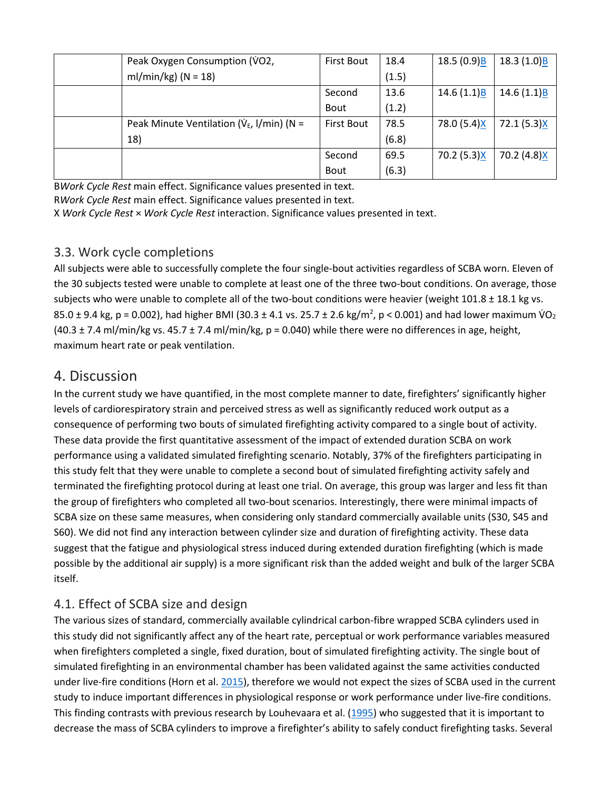| Peak Oxygen Consumption (VO2,                   | <b>First Bout</b> | 18.4  | 18.5(0.9)B  | 18.3(1.0)B  |
|-------------------------------------------------|-------------------|-------|-------------|-------------|
| ml/min/kg) ( $N = 18$ )                         |                   | (1.5) |             |             |
|                                                 | Second            | 13.6  | 14.6(1.1)B  | 14.6(1.1)B  |
|                                                 | <b>Bout</b>       | (1.2) |             |             |
| Peak Minute Ventilation ( $V_{E}$ , I/min) (N = | <b>First Bout</b> | 78.5  | 78.0 (5.4)X | 72.1(5.3)X  |
| 18)                                             |                   | (6.8) |             |             |
|                                                 | Second            | 69.5  | 70.2 (5.3)X | 70.2 (4.8)X |
|                                                 | <b>Bout</b>       | (6.3) |             |             |

B*Work Cycle Rest* main effect. Significance values presented in text.

R*Work Cycle Rest* main effect. Significance values presented in text.

X *Work Cycle Rest* × *Work Cycle Rest* interaction. Significance values presented in text.

## 3.3. Work cycle completions

All subjects were able to successfully complete the four single-bout activities regardless of SCBA worn. Eleven of the 30 subjects tested were unable to complete at least one of the three two-bout conditions. On average, those subjects who were unable to complete all of the two-bout conditions were heavier (weight 101.8 ± 18.1 kg vs. 85.0 ± 9.4 kg, p = 0.002), had higher BMI (30.3 ± 4.1 vs. 25.7 ± 2.6 kg/m<sup>2</sup>, p < 0.001) and had lower maximum  $\dot{V}O_2$  $(40.3 \pm 7.4 \text{ ml/min/kg vs. } 45.7 \pm 7.4 \text{ ml/min/kg, p = } 0.040)$  while there were no differences in age, height, maximum heart rate or peak ventilation.

# 4. Discussion

In the current study we have quantified, in the most complete manner to date, firefighters' significantly higher levels of cardiorespiratory strain and perceived stress as well as significantly reduced work output as a consequence of performing two bouts of simulated firefighting activity compared to a single bout of activity. These data provide the first quantitative assessment of the impact of extended duration SCBA on work performance using a validated simulated firefighting scenario. Notably, 37% of the firefighters participating in this study felt that they were unable to complete a second bout of simulated firefighting activity safely and terminated the firefighting protocol during at least one trial. On average, this group was larger and less fit than the group of firefighters who completed all two-bout scenarios. Interestingly, there were minimal impacts of SCBA size on these same measures, when considering only standard commercially available units (S30, S45 and S60). We did not find any interaction between cylinder size and duration of firefighting activity. These data suggest that the fatigue and physiological stress induced during extended duration firefighting (which is made possible by the additional air supply) is a more significant risk than the added weight and bulk of the larger SCBA itself.

# 4.1. Effect of SCBA size and design

The various sizes of standard, commercially available cylindrical carbon-fibre wrapped SCBA cylinders used in this study did not significantly affect any of the heart rate, perceptual or work performance variables measured when firefighters completed a single, fixed duration, bout of simulated firefighting activity. The single bout of simulated firefighting in an environmental chamber has been validated against the same activities conducted under live-fire conditions (Horn et al[. 2015\)](https://www.tandfonline.com/doi/full/10.1080/00140139.2017.1360519), therefore we would not expect the sizes of SCBA used in the current study to induce important differences in physiological response or work performance under live-fire conditions. This finding contrasts with previous research by Louhevaara et al. [\(1995\)](https://www.tandfonline.com/doi/full/10.1080/00140139.2017.1360519) who suggested that it is important to decrease the mass of SCBA cylinders to improve a firefighter's ability to safely conduct firefighting tasks. Several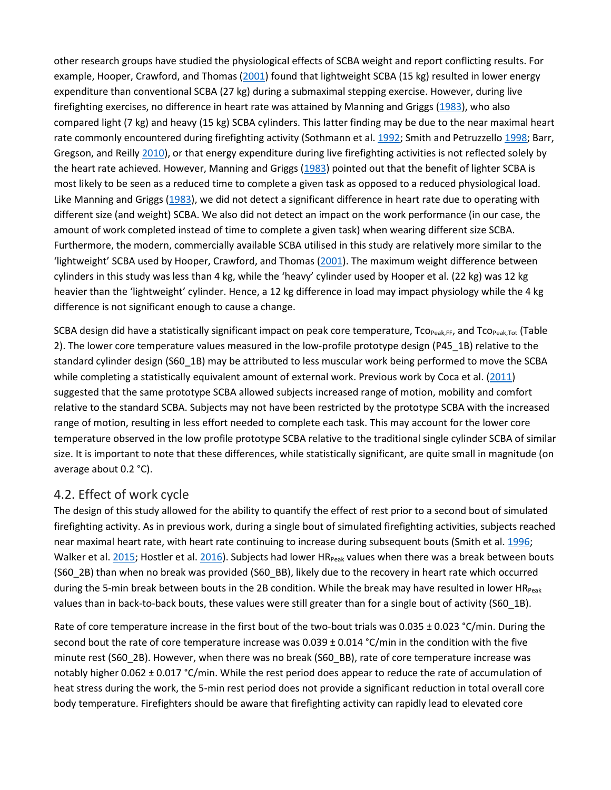other research groups have studied the physiological effects of SCBA weight and report conflicting results. For example, Hooper, Crawford, and Thomas [\(2001\)](https://www.tandfonline.com/doi/full/10.1080/00140139.2017.1360519) found that lightweight SCBA (15 kg) resulted in lower energy expenditure than conventional SCBA (27 kg) during a submaximal stepping exercise. However, during live firefighting exercises, no difference in heart rate was attained by Manning and Griggs [\(1983\)](https://www.tandfonline.com/doi/full/10.1080/00140139.2017.1360519), who also compared light (7 kg) and heavy (15 kg) SCBA cylinders. This latter finding may be due to the near maximal heart rate commonly encountered during firefighting activity (Sothmann et al[. 1992;](https://www.tandfonline.com/doi/full/10.1080/00140139.2017.1360519) Smith and Petruzzello [1998;](https://www.tandfonline.com/doi/full/10.1080/00140139.2017.1360519) Barr, Gregson, and Reilly [2010\)](https://www.tandfonline.com/doi/full/10.1080/00140139.2017.1360519), or that energy expenditure during live firefighting activities is not reflected solely by the heart rate achieved. However, Manning and Griggs [\(1983\)](https://www.tandfonline.com/doi/full/10.1080/00140139.2017.1360519) pointed out that the benefit of lighter SCBA is most likely to be seen as a reduced time to complete a given task as opposed to a reduced physiological load. Like Manning and Griggs [\(1983\)](https://www.tandfonline.com/doi/full/10.1080/00140139.2017.1360519), we did not detect a significant difference in heart rate due to operating with different size (and weight) SCBA. We also did not detect an impact on the work performance (in our case, the amount of work completed instead of time to complete a given task) when wearing different size SCBA. Furthermore, the modern, commercially available SCBA utilised in this study are relatively more similar to the 'lightweight' SCBA used by Hooper, Crawford, and Thomas [\(2001\)](https://www.tandfonline.com/doi/full/10.1080/00140139.2017.1360519). The maximum weight difference between cylinders in this study was less than 4 kg, while the 'heavy' cylinder used by Hooper et al. (22 kg) was 12 kg heavier than the 'lightweight' cylinder. Hence, a 12 kg difference in load may impact physiology while the 4 kg difference is not significant enough to cause a change.

SCBA design did have a statistically significant impact on peak core temperature,  $To_{Peak,FF}$ , and  $To_{Peak,Tot}$  (Table 2). The lower core temperature values measured in the low-profile prototype design (P45\_1B) relative to the standard cylinder design (S60\_1B) may be attributed to less muscular work being performed to move the SCBA while completing a statistically equivalent amount of external work. Previous work by Coca et al. [\(2011\)](https://www.tandfonline.com/doi/full/10.1080/00140139.2017.1360519) suggested that the same prototype SCBA allowed subjects increased range of motion, mobility and comfort relative to the standard SCBA. Subjects may not have been restricted by the prototype SCBA with the increased range of motion, resulting in less effort needed to complete each task. This may account for the lower core temperature observed in the low profile prototype SCBA relative to the traditional single cylinder SCBA of similar size. It is important to note that these differences, while statistically significant, are quite small in magnitude (on average about 0.2 °C).

#### 4.2. Effect of work cycle

The design of this study allowed for the ability to quantify the effect of rest prior to a second bout of simulated firefighting activity. As in previous work, during a single bout of simulated firefighting activities, subjects reached near maximal heart rate, with heart rate continuing to increase during subsequent bouts (Smith et al. [1996;](https://www.tandfonline.com/doi/full/10.1080/00140139.2017.1360519) Walker et al. [2015;](https://www.tandfonline.com/doi/full/10.1080/00140139.2017.1360519) Hostler et al[. 2016\)](https://www.tandfonline.com/doi/full/10.1080/00140139.2017.1360519). Subjects had lower HR<sub>Peak</sub> values when there was a break between bouts (S60\_2B) than when no break was provided (S60\_BB), likely due to the recovery in heart rate which occurred during the 5-min break between bouts in the 2B condition. While the break may have resulted in lower  $HR_{Peak}$ values than in back-to-back bouts, these values were still greater than for a single bout of activity (S60\_1B).

Rate of core temperature increase in the first bout of the two-bout trials was 0.035 ± 0.023 °C/min. During the second bout the rate of core temperature increase was 0.039 ± 0.014 °C/min in the condition with the five minute rest (S60\_2B). However, when there was no break (S60\_BB), rate of core temperature increase was notably higher 0.062 ± 0.017 °C/min. While the rest period does appear to reduce the rate of accumulation of heat stress during the work, the 5-min rest period does not provide a significant reduction in total overall core body temperature. Firefighters should be aware that firefighting activity can rapidly lead to elevated core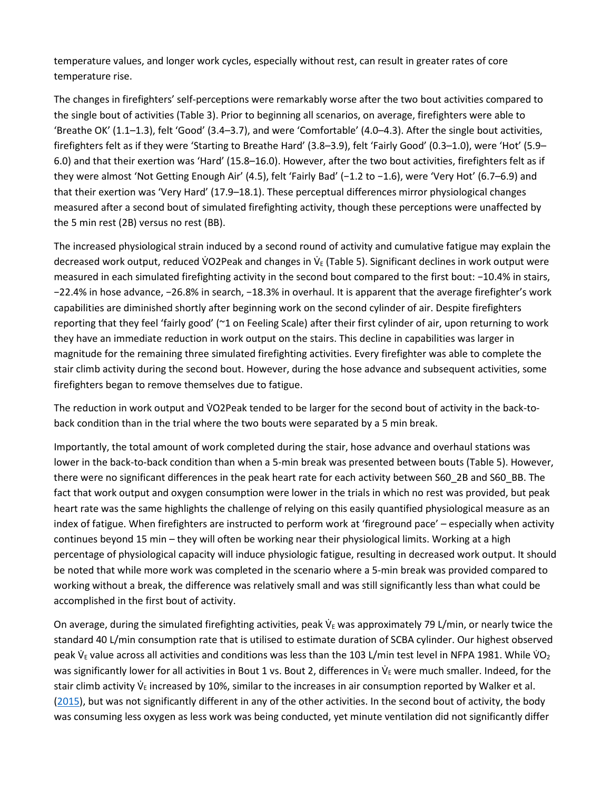temperature values, and longer work cycles, especially without rest, can result in greater rates of core temperature rise.

The changes in firefighters' self-perceptions were remarkably worse after the two bout activities compared to the single bout of activities (Table 3). Prior to beginning all scenarios, on average, firefighters were able to 'Breathe OK' (1.1–1.3), felt 'Good' (3.4–3.7), and were 'Comfortable' (4.0–4.3). After the single bout activities, firefighters felt as if they were 'Starting to Breathe Hard' (3.8–3.9), felt 'Fairly Good' (0.3–1.0), were 'Hot' (5.9– 6.0) and that their exertion was 'Hard' (15.8–16.0). However, after the two bout activities, firefighters felt as if they were almost 'Not Getting Enough Air' (4.5), felt 'Fairly Bad' (−1.2 to −1.6), were 'Very Hot' (6.7–6.9) and that their exertion was 'Very Hard' (17.9–18.1). These perceptual differences mirror physiological changes measured after a second bout of simulated firefighting activity, though these perceptions were unaffected by the 5 min rest (2B) versus no rest (BB).

The increased physiological strain induced by a second round of activity and cumulative fatigue may explain the decreased work output, reduced VO2Peak and changes in V $_$  (Table 5). Significant declines in work output were measured in each simulated firefighting activity in the second bout compared to the first bout: −10.4% in stairs, −22.4% in hose advance, −26.8% in search, −18.3% in overhaul. It is apparent that the average firefighter's work capabilities are diminished shortly after beginning work on the second cylinder of air. Despite firefighters reporting that they feel 'fairly good' (~1 on Feeling Scale) after their first cylinder of air, upon returning to work they have an immediate reduction in work output on the stairs. This decline in capabilities was larger in magnitude for the remaining three simulated firefighting activities. Every firefighter was able to complete the stair climb activity during the second bout. However, during the hose advance and subsequent activities, some firefighters began to remove themselves due to fatigue.

The reduction in work output and VO2Peak tended to be larger for the second bout of activity in the back-toback condition than in the trial where the two bouts were separated by a 5 min break.

Importantly, the total amount of work completed during the stair, hose advance and overhaul stations was lower in the back-to-back condition than when a 5-min break was presented between bouts (Table 5). However, there were no significant differences in the peak heart rate for each activity between S60\_2B and S60\_BB. The fact that work output and oxygen consumption were lower in the trials in which no rest was provided, but peak heart rate was the same highlights the challenge of relying on this easily quantified physiological measure as an index of fatigue. When firefighters are instructed to perform work at 'fireground pace' – especially when activity continues beyond 15 min – they will often be working near their physiological limits. Working at a high percentage of physiological capacity will induce physiologic fatigue, resulting in decreased work output. It should be noted that while more work was completed in the scenario where a 5-min break was provided compared to working without a break, the difference was relatively small and was still significantly less than what could be accomplished in the first bout of activity.

On average, during the simulated firefighting activities, peak  $V_E$  was approximately 79 L/min, or nearly twice the standard 40 L/min consumption rate that is utilised to estimate duration of SCBA cylinder. Our highest observed peak  $\dot{V}_E$  value across all activities and conditions was less than the 103 L/min test level in NFPA 1981. While  $\dot{V}O_2$ was significantly lower for all activities in Bout 1 vs. Bout 2, differences in  $\dot{\vee}_{E}$  were much smaller. Indeed, for the stair climb activity  $V_{E}$  increased by 10%, similar to the increases in air consumption reported by Walker et al. [\(2015\)](https://www.tandfonline.com/doi/full/10.1080/00140139.2017.1360519), but was not significantly different in any of the other activities. In the second bout of activity, the body was consuming less oxygen as less work was being conducted, yet minute ventilation did not significantly differ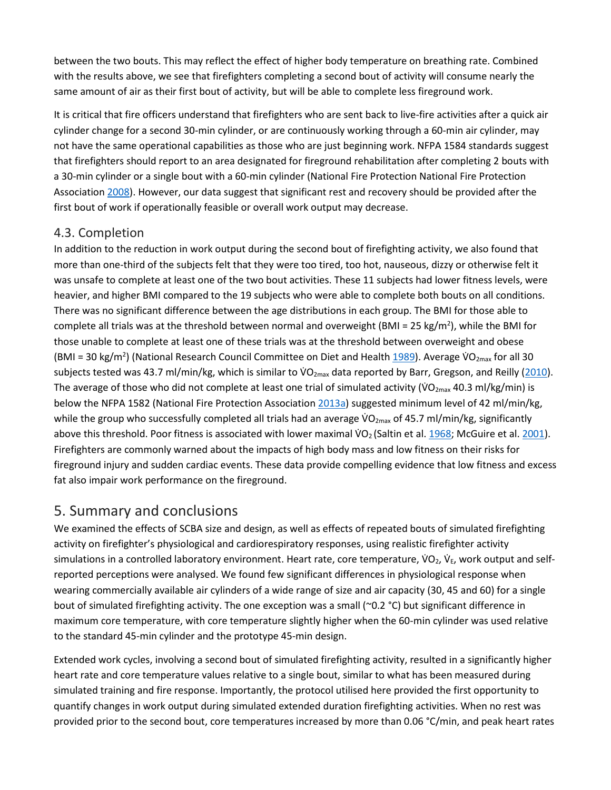between the two bouts. This may reflect the effect of higher body temperature on breathing rate. Combined with the results above, we see that firefighters completing a second bout of activity will consume nearly the same amount of air as their first bout of activity, but will be able to complete less fireground work.

It is critical that fire officers understand that firefighters who are sent back to live-fire activities after a quick air cylinder change for a second 30-min cylinder, or are continuously working through a 60-min air cylinder, may not have the same operational capabilities as those who are just beginning work. NFPA 1584 standards suggest that firefighters should report to an area designated for fireground rehabilitation after completing 2 bouts with a 30-min cylinder or a single bout with a 60-min cylinder (National Fire Protection National Fire Protection Associatio[n 2008\)](https://www.tandfonline.com/doi/full/10.1080/00140139.2017.1360519). However, our data suggest that significant rest and recovery should be provided after the first bout of work if operationally feasible or overall work output may decrease.

#### 4.3. Completion

In addition to the reduction in work output during the second bout of firefighting activity, we also found that more than one-third of the subjects felt that they were too tired, too hot, nauseous, dizzy or otherwise felt it was unsafe to complete at least one of the two bout activities. These 11 subjects had lower fitness levels, were heavier, and higher BMI compared to the 19 subjects who were able to complete both bouts on all conditions. There was no significant difference between the age distributions in each group. The BMI for those able to complete all trials was at the threshold between normal and overweight (BMI = 25 kg/m<sup>2</sup>), while the BMI for those unable to complete at least one of these trials was at the threshold between overweight and obese (BMI = 30 kg/m<sup>2</sup>) (National Research Council Committee on Diet and Health  $1989$ ). Average VO<sub>2max</sub> for all 30 subjects tested was 43.7 ml/min/kg, which is similar to VO<sub>2max</sub> data reported by Barr, Gregson, and Reilly [\(2010\)](https://www.tandfonline.com/doi/full/10.1080/00140139.2017.1360519). The average of those who did not complete at least one trial of simulated activity (VO<sub>2max</sub> 40.3 ml/kg/min) is below the NFPA 1582 (National Fire Protection Association [2013a\)](https://www.tandfonline.com/doi/full/10.1080/00140139.2017.1360519) suggested minimum level of 42 ml/min/kg, while the group who successfully completed all trials had an average  $VO_{2max}$  of 45.7 ml/min/kg, significantly above this threshold. Poor fitness is associated with lower maximal  $VO<sub>2</sub>$  (Saltin et al. [1968;](https://www.tandfonline.com/doi/full/10.1080/00140139.2017.1360519) McGuire et al[. 2001\)](https://www.tandfonline.com/doi/full/10.1080/00140139.2017.1360519). Firefighters are commonly warned about the impacts of high body mass and low fitness on their risks for fireground injury and sudden cardiac events. These data provide compelling evidence that low fitness and excess fat also impair work performance on the fireground.

# 5. Summary and conclusions

We examined the effects of SCBA size and design, as well as effects of repeated bouts of simulated firefighting activity on firefighter's physiological and cardiorespiratory responses, using realistic firefighter activity simulations in a controlled laboratory environment. Heart rate, core temperature,  $\forall O_2$ ,  $\forall_{E}$ , work output and selfreported perceptions were analysed. We found few significant differences in physiological response when wearing commercially available air cylinders of a wide range of size and air capacity (30, 45 and 60) for a single bout of simulated firefighting activity. The one exception was a small (~0.2 °C) but significant difference in maximum core temperature, with core temperature slightly higher when the 60-min cylinder was used relative to the standard 45-min cylinder and the prototype 45-min design.

Extended work cycles, involving a second bout of simulated firefighting activity, resulted in a significantly higher heart rate and core temperature values relative to a single bout, similar to what has been measured during simulated training and fire response. Importantly, the protocol utilised here provided the first opportunity to quantify changes in work output during simulated extended duration firefighting activities. When no rest was provided prior to the second bout, core temperatures increased by more than 0.06 °C/min, and peak heart rates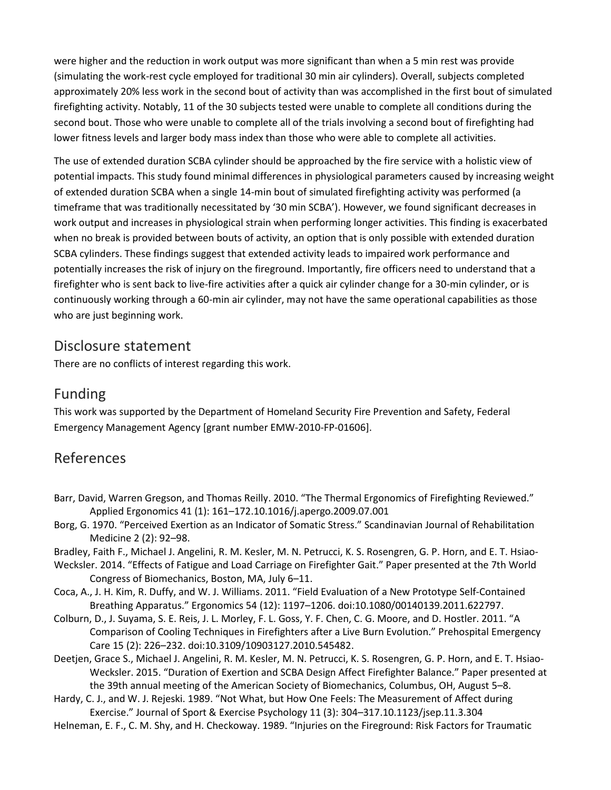were higher and the reduction in work output was more significant than when a 5 min rest was provide (simulating the work-rest cycle employed for traditional 30 min air cylinders). Overall, subjects completed approximately 20% less work in the second bout of activity than was accomplished in the first bout of simulated firefighting activity. Notably, 11 of the 30 subjects tested were unable to complete all conditions during the second bout. Those who were unable to complete all of the trials involving a second bout of firefighting had lower fitness levels and larger body mass index than those who were able to complete all activities.

The use of extended duration SCBA cylinder should be approached by the fire service with a holistic view of potential impacts. This study found minimal differences in physiological parameters caused by increasing weight of extended duration SCBA when a single 14-min bout of simulated firefighting activity was performed (a timeframe that was traditionally necessitated by '30 min SCBA'). However, we found significant decreases in work output and increases in physiological strain when performing longer activities. This finding is exacerbated when no break is provided between bouts of activity, an option that is only possible with extended duration SCBA cylinders. These findings suggest that extended activity leads to impaired work performance and potentially increases the risk of injury on the fireground. Importantly, fire officers need to understand that a firefighter who is sent back to live-fire activities after a quick air cylinder change for a 30-min cylinder, or is continuously working through a 60-min air cylinder, may not have the same operational capabilities as those who are just beginning work.

# Disclosure statement

There are no conflicts of interest regarding this work.

# Funding

This work was supported by the Department of Homeland Security Fire Prevention and Safety, Federal Emergency Management Agency [grant number EMW-2010-FP-01606].

# References

- Barr, David, Warren Gregson, and Thomas Reilly. 2010. "The Thermal Ergonomics of Firefighting Reviewed." Applied Ergonomics 41 (1): 161–172.10.1016/j.apergo.2009.07.001
- Borg, G. 1970. "Perceived Exertion as an Indicator of Somatic Stress." Scandinavian Journal of Rehabilitation Medicine 2 (2): 92–98.
- Bradley, Faith F., Michael J. Angelini, R. M. Kesler, M. N. Petrucci, K. S. Rosengren, G. P. Horn, and E. T. Hsiao-
- Wecksler. 2014. "Effects of Fatigue and Load Carriage on Firefighter Gait." Paper presented at the 7th World Congress of Biomechanics, Boston, MA, July 6–11.
- Coca, A., J. H. Kim, R. Duffy, and W. J. Williams. 2011. "Field Evaluation of a New Prototype Self-Contained Breathing Apparatus." Ergonomics 54 (12): 1197–1206. doi:10.1080/00140139.2011.622797.
- Colburn, D., J. Suyama, S. E. Reis, J. L. Morley, F. L. Goss, Y. F. Chen, C. G. Moore, and D. Hostler. 2011. "A Comparison of Cooling Techniques in Firefighters after a Live Burn Evolution." Prehospital Emergency Care 15 (2): 226–232. doi:10.3109/10903127.2010.545482.
- Deetjen, Grace S., Michael J. Angelini, R. M. Kesler, M. N. Petrucci, K. S. Rosengren, G. P. Horn, and E. T. Hsiao-Wecksler. 2015. "Duration of Exertion and SCBA Design Affect Firefighter Balance." Paper presented at the 39th annual meeting of the American Society of Biomechanics, Columbus, OH, August 5–8.
- Hardy, C. J., and W. J. Rejeski. 1989. "Not What, but How One Feels: The Measurement of Affect during Exercise." Journal of Sport & Exercise Psychology 11 (3): 304–317.10.1123/jsep.11.3.304
- Helneman, E. F., C. M. Shy, and H. Checkoway. 1989. "Injuries on the Fireground: Risk Factors for Traumatic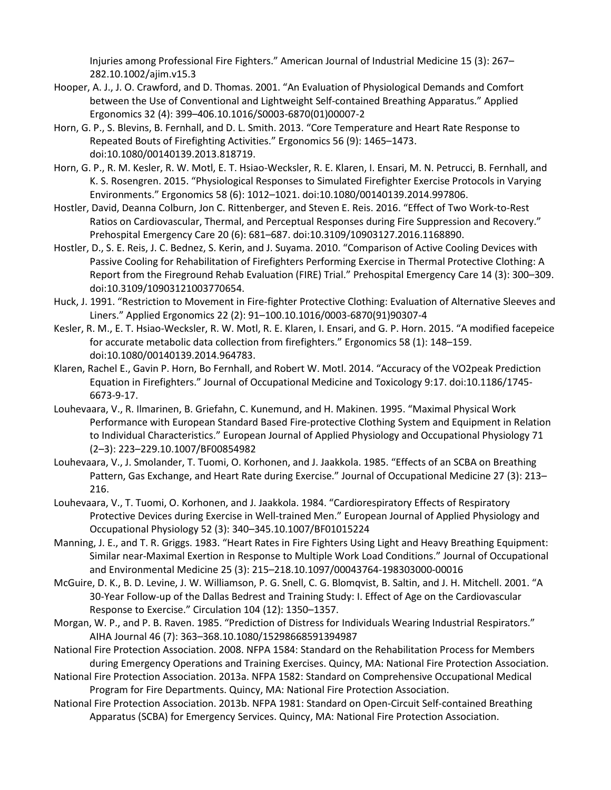Injuries among Professional Fire Fighters." American Journal of Industrial Medicine 15 (3): 267– 282.10.1002/ajim.v15.3

- Hooper, A. J., J. O. Crawford, and D. Thomas. 2001. "An Evaluation of Physiological Demands and Comfort between the Use of Conventional and Lightweight Self-contained Breathing Apparatus." Applied Ergonomics 32 (4): 399–406.10.1016/S0003-6870(01)00007-2
- Horn, G. P., S. Blevins, B. Fernhall, and D. L. Smith. 2013. "Core Temperature and Heart Rate Response to Repeated Bouts of Firefighting Activities." Ergonomics 56 (9): 1465–1473. doi:10.1080/00140139.2013.818719.
- Horn, G. P., R. M. Kesler, R. W. Motl, E. T. Hsiao-Wecksler, R. E. Klaren, I. Ensari, M. N. Petrucci, B. Fernhall, and K. S. Rosengren. 2015. "Physiological Responses to Simulated Firefighter Exercise Protocols in Varying Environments." Ergonomics 58 (6): 1012–1021. doi:10.1080/00140139.2014.997806.
- Hostler, David, Deanna Colburn, Jon C. Rittenberger, and Steven E. Reis. 2016. "Effect of Two Work-to-Rest Ratios on Cardiovascular, Thermal, and Perceptual Responses during Fire Suppression and Recovery." Prehospital Emergency Care 20 (6): 681–687. doi:10.3109/10903127.2016.1168890.
- Hostler, D., S. E. Reis, J. C. Bednez, S. Kerin, and J. Suyama. 2010. "Comparison of Active Cooling Devices with Passive Cooling for Rehabilitation of Firefighters Performing Exercise in Thermal Protective Clothing: A Report from the Fireground Rehab Evaluation (FIRE) Trial." Prehospital Emergency Care 14 (3): 300–309. doi:10.3109/10903121003770654.
- Huck, J. 1991. "Restriction to Movement in Fire-fighter Protective Clothing: Evaluation of Alternative Sleeves and Liners." Applied Ergonomics 22 (2): 91–100.10.1016/0003-6870(91)90307-4
- Kesler, R. M., E. T. Hsiao-Wecksler, R. W. Motl, R. E. Klaren, I. Ensari, and G. P. Horn. 2015. "A modified facepeice for accurate metabolic data collection from firefighters." Ergonomics 58 (1): 148–159. doi:10.1080/00140139.2014.964783.
- Klaren, Rachel E., Gavin P. Horn, Bo Fernhall, and Robert W. Motl. 2014. "Accuracy of the VO2peak Prediction Equation in Firefighters." Journal of Occupational Medicine and Toxicology 9:17. doi:10.1186/1745- 6673-9-17.
- Louhevaara, V., R. Ilmarinen, B. Griefahn, C. Kunemund, and H. Makinen. 1995. "Maximal Physical Work Performance with European Standard Based Fire-protective Clothing System and Equipment in Relation to Individual Characteristics." European Journal of Applied Physiology and Occupational Physiology 71 (2–3): 223–229.10.1007/BF00854982
- Louhevaara, V., J. Smolander, T. Tuomi, O. Korhonen, and J. Jaakkola. 1985. "Effects of an SCBA on Breathing Pattern, Gas Exchange, and Heart Rate during Exercise." Journal of Occupational Medicine 27 (3): 213– 216.
- Louhevaara, V., T. Tuomi, O. Korhonen, and J. Jaakkola. 1984. "Cardiorespiratory Effects of Respiratory Protective Devices during Exercise in Well-trained Men." European Journal of Applied Physiology and Occupational Physiology 52 (3): 340–345.10.1007/BF01015224
- Manning, J. E., and T. R. Griggs. 1983. "Heart Rates in Fire Fighters Using Light and Heavy Breathing Equipment: Similar near-Maximal Exertion in Response to Multiple Work Load Conditions." Journal of Occupational and Environmental Medicine 25 (3): 215–218.10.1097/00043764-198303000-00016
- McGuire, D. K., B. D. Levine, J. W. Williamson, P. G. Snell, C. G. Blomqvist, B. Saltin, and J. H. Mitchell. 2001. "A 30-Year Follow-up of the Dallas Bedrest and Training Study: I. Effect of Age on the Cardiovascular Response to Exercise." Circulation 104 (12): 1350–1357.
- Morgan, W. P., and P. B. Raven. 1985. "Prediction of Distress for Individuals Wearing Industrial Respirators." AIHA Journal 46 (7): 363–368.10.1080/15298668591394987
- National Fire Protection Association. 2008. NFPA 1584: Standard on the Rehabilitation Process for Members during Emergency Operations and Training Exercises. Quincy, MA: National Fire Protection Association.
- National Fire Protection Association. 2013a. NFPA 1582: Standard on Comprehensive Occupational Medical Program for Fire Departments. Quincy, MA: National Fire Protection Association.
- National Fire Protection Association. 2013b. NFPA 1981: Standard on Open-Circuit Self-contained Breathing Apparatus (SCBA) for Emergency Services. Quincy, MA: National Fire Protection Association.